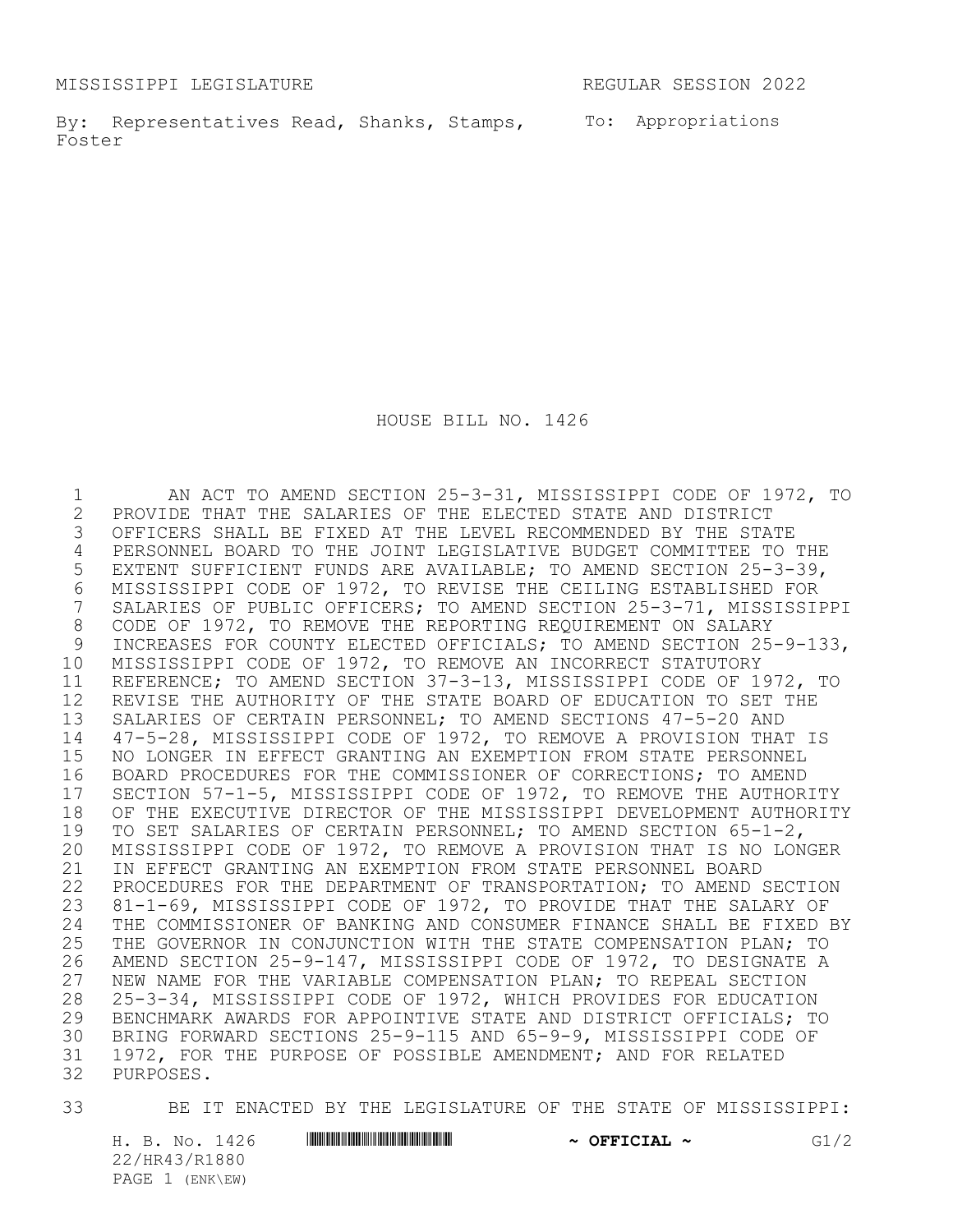MISSISSIPPI LEGISLATURE REGULAR SESSION 2022

By: Representatives Read, Shanks, Stamps, To: Appropriations Foster

HOUSE BILL NO. 1426

1 AN ACT TO AMEND SECTION 25-3-31, MISSISSIPPI CODE OF 1972, TO<br>2 PROVIDE THAT THE SALARIES OF THE ELECTED STATE AND DISTRICT 2 PROVIDE THAT THE SALARIES OF THE ELECTED STATE AND DISTRICT<br>3 OFFICERS SHALL BE FIXED AT THE LEVEL RECOMMENDED BY THE STA' OFFICERS SHALL BE FIXED AT THE LEVEL RECOMMENDED BY THE STATE PERSONNEL BOARD TO THE JOINT LEGISLATIVE BUDGET COMMITTEE TO THE EXTENT SUFFICIENT FUNDS ARE AVAILABLE; TO AMEND SECTION 25-3-39, MISSISSIPPI CODE OF 1972, TO REVISE THE CEILING ESTABLISHED FOR SALARIES OF PUBLIC OFFICERS; TO AMEND SECTION 25-3-71, MISSISSIPPI 8 CODE OF 1972, TO REMOVE THE REPORTING REQUIREMENT ON SALARY<br>9 INCREASES FOR COUNTY ELECTED OFFICIALS: TO AMEND SECTION 25 INCREASES FOR COUNTY ELECTED OFFICIALS; TO AMEND SECTION 25-9-133, MISSISSIPPI CODE OF 1972, TO REMOVE AN INCORRECT STATUTORY REFERENCE; TO AMEND SECTION 37-3-13, MISSISSIPPI CODE OF 1972, TO REVISE THE AUTHORITY OF THE STATE BOARD OF EDUCATION TO SET THE SALARIES OF CERTAIN PERSONNEL; TO AMEND SECTIONS 47-5-20 AND 47-5-28, MISSISSIPPI CODE OF 1972, TO REMOVE A PROVISION THAT IS NO LONGER IN EFFECT GRANTING AN EXEMPTION FROM STATE PERSONNEL 16 BOARD PROCEDURES FOR THE COMMISSIONER OF CORRECTIONS; TO AMEND<br>17 SECTION 57-1-5, MISSISSIPPI CODE OF 1972, TO REMOVE THE AUTHOR SECTION 57-1-5, MISSISSIPPI CODE OF 1972, TO REMOVE THE AUTHORITY OF THE EXECUTIVE DIRECTOR OF THE MISSISSIPPI DEVELOPMENT AUTHORITY TO SET SALARIES OF CERTAIN PERSONNEL; TO AMEND SECTION 65-1-2, MISSISSIPPI CODE OF 1972, TO REMOVE A PROVISION THAT IS NO LONGER IN EFFECT GRANTING AN EXEMPTION FROM STATE PERSONNEL BOARD PROCEDURES FOR THE DEPARTMENT OF TRANSPORTATION; TO AMEND SECTION 81-1-69, MISSISSIPPI CODE OF 1972, TO PROVIDE THAT THE SALARY OF 24 THE COMMISSIONER OF BANKING AND CONSUMER FINANCE SHALL BE FIXED BY<br>25 THE GOVERNOR IN CONJUNCTION WITH THE STATE COMPENSATION PLAN; TO THE GOVERNOR IN CONJUNCTION WITH THE STATE COMPENSATION PLAN; TO AMEND SECTION 25-9-147, MISSISSIPPI CODE OF 1972, TO DESIGNATE A NEW NAME FOR THE VARIABLE COMPENSATION PLAN; TO REPEAL SECTION 25-3-34, MISSISSIPPI CODE OF 1972, WHICH PROVIDES FOR EDUCATION BENCHMARK AWARDS FOR APPOINTIVE STATE AND DISTRICT OFFICIALS; TO BRING FORWARD SECTIONS 25-9-115 AND 65-9-9, MISSISSIPPI CODE OF 1972, FOR THE PURPOSE OF POSSIBLE AMENDMENT; AND FOR RELATED PURPOSES.

33 BE IT ENACTED BY THE LEGISLATURE OF THE STATE OF MISSISSIPPI:

H. B. No. 1426 **HR441 HR430 ENGINEER 2008 ~ OFFICIAL ~** G1/2 22/HR43/R1880 PAGE 1 (ENK\EW)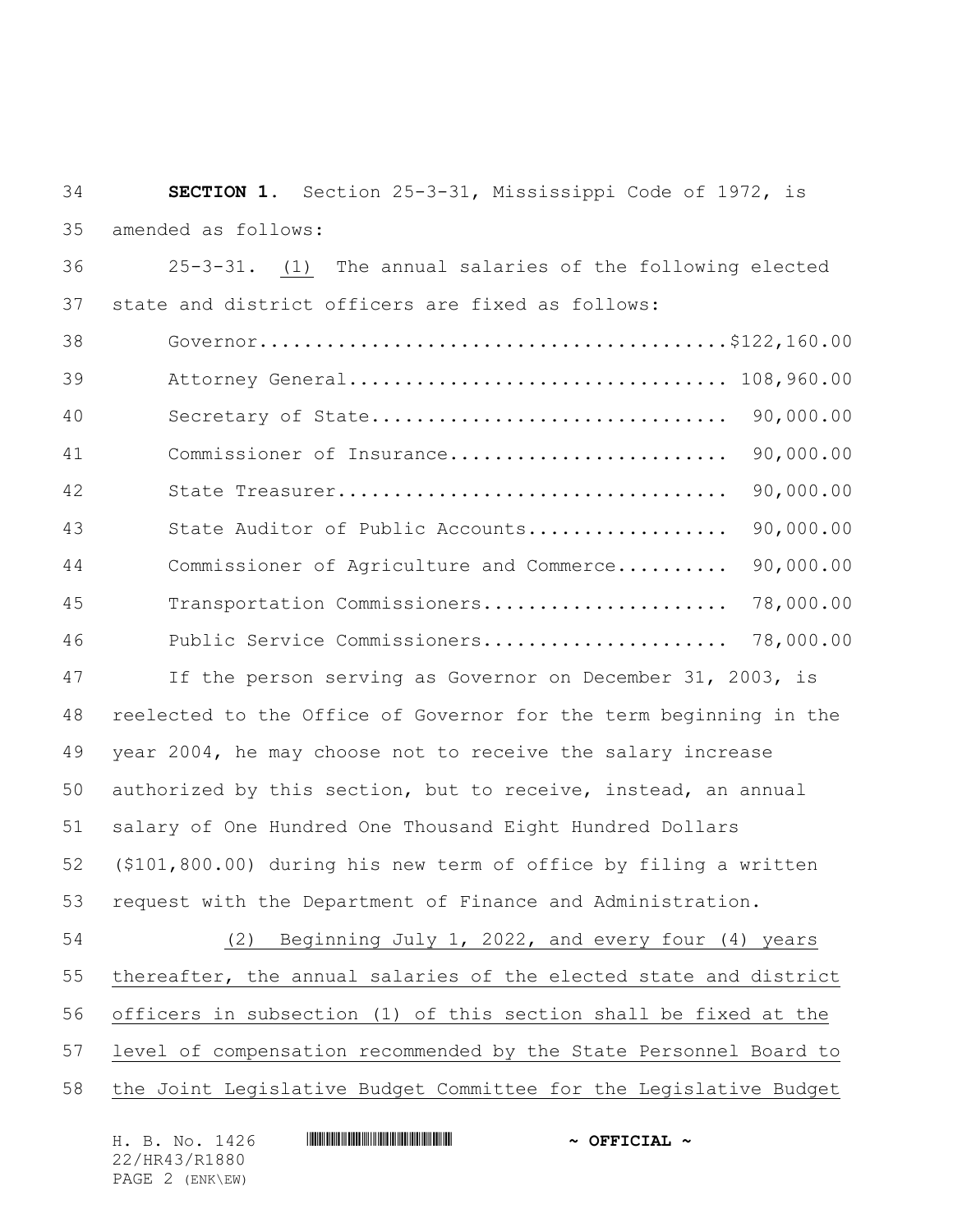| 34 | SECTION 1. Section 25-3-31, Mississippi Code of 1972, is          |  |  |
|----|-------------------------------------------------------------------|--|--|
| 35 | amended as follows:                                               |  |  |
| 36 | 25-3-31. (1) The annual salaries of the following elected         |  |  |
| 37 | state and district officers are fixed as follows:                 |  |  |
| 38 |                                                                   |  |  |
| 39 | Attorney General 108,960.00                                       |  |  |
| 40 | Secretary of State 90,000.00                                      |  |  |
| 41 | 90,000.00<br>Commissioner of Insurance                            |  |  |
| 42 | 90,000.00                                                         |  |  |
| 43 | 90,000.00<br>State Auditor of Public Accounts                     |  |  |
| 44 | 90,000.00<br>Commissioner of Agriculture and Commerce             |  |  |
| 45 | Transportation Commissioners<br>78,000.00                         |  |  |
| 46 |                                                                   |  |  |
| 47 | If the person serving as Governor on December 31, 2003, is        |  |  |
| 48 | reelected to the Office of Governor for the term beginning in the |  |  |
| 49 | year 2004, he may choose not to receive the salary increase       |  |  |
| 50 | authorized by this section, but to receive, instead, an annual    |  |  |
| 51 | salary of One Hundred One Thousand Eight Hundred Dollars          |  |  |
| 52 | (\$101,800.00) during his new term of office by filing a written  |  |  |
| 53 | request with the Department of Finance and Administration.        |  |  |
| 54 | (2) Beginning July 1, 2022, and every four (4) years              |  |  |
| 55 | thereafter, the annual salaries of the elected state and district |  |  |
| 56 | officers in subsection (1) of this section shall be fixed at the  |  |  |
| 57 | level of compensation recommended by the State Personnel Board to |  |  |
| 58 | the Joint Legislative Budget Committee for the Legislative Budget |  |  |
|    | H. B. No. 1426<br>$\sim$ OFFICIAL $\sim$                          |  |  |

22/HR43/R1880 PAGE 2 (ENK\EW)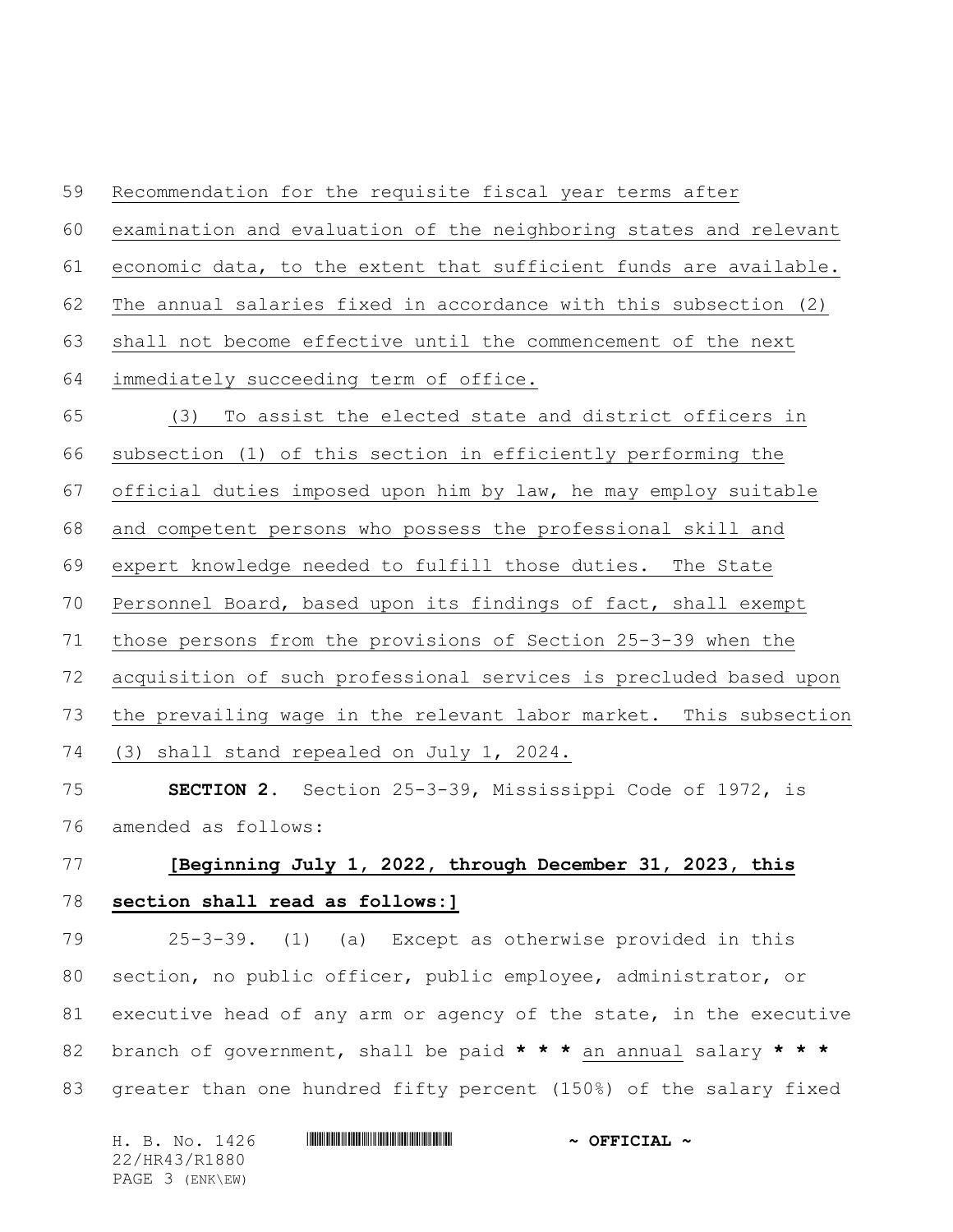Recommendation for the requisite fiscal year terms after examination and evaluation of the neighboring states and relevant economic data, to the extent that sufficient funds are available. The annual salaries fixed in accordance with this subsection (2) shall not become effective until the commencement of the next immediately succeeding term of office. (3) To assist the elected state and district officers in subsection (1) of this section in efficiently performing the official duties imposed upon him by law, he may employ suitable and competent persons who possess the professional skill and expert knowledge needed to fulfill those duties. The State Personnel Board, based upon its findings of fact, shall exempt those persons from the provisions of Section 25-3-39 when the acquisition of such professional services is precluded based upon the prevailing wage in the relevant labor market. This subsection (3) shall stand repealed on July 1, 2024. **SECTION 2.** Section 25-3-39, Mississippi Code of 1972, is amended as follows:

## **[Beginning July 1, 2022, through December 31, 2023, this section shall read as follows:]**

 25-3-39. (1) (a) Except as otherwise provided in this section, no public officer, public employee, administrator, or executive head of any arm or agency of the state, in the executive branch of government, shall be paid **\* \* \*** an annual salary **\* \* \*** greater than one hundred fifty percent (150%) of the salary fixed

| H. B. No. 1426  | $\sim$ OFFICIAL $\sim$ |
|-----------------|------------------------|
| 22/HR43/R1880   |                        |
| PAGE 3 (ENK\EW) |                        |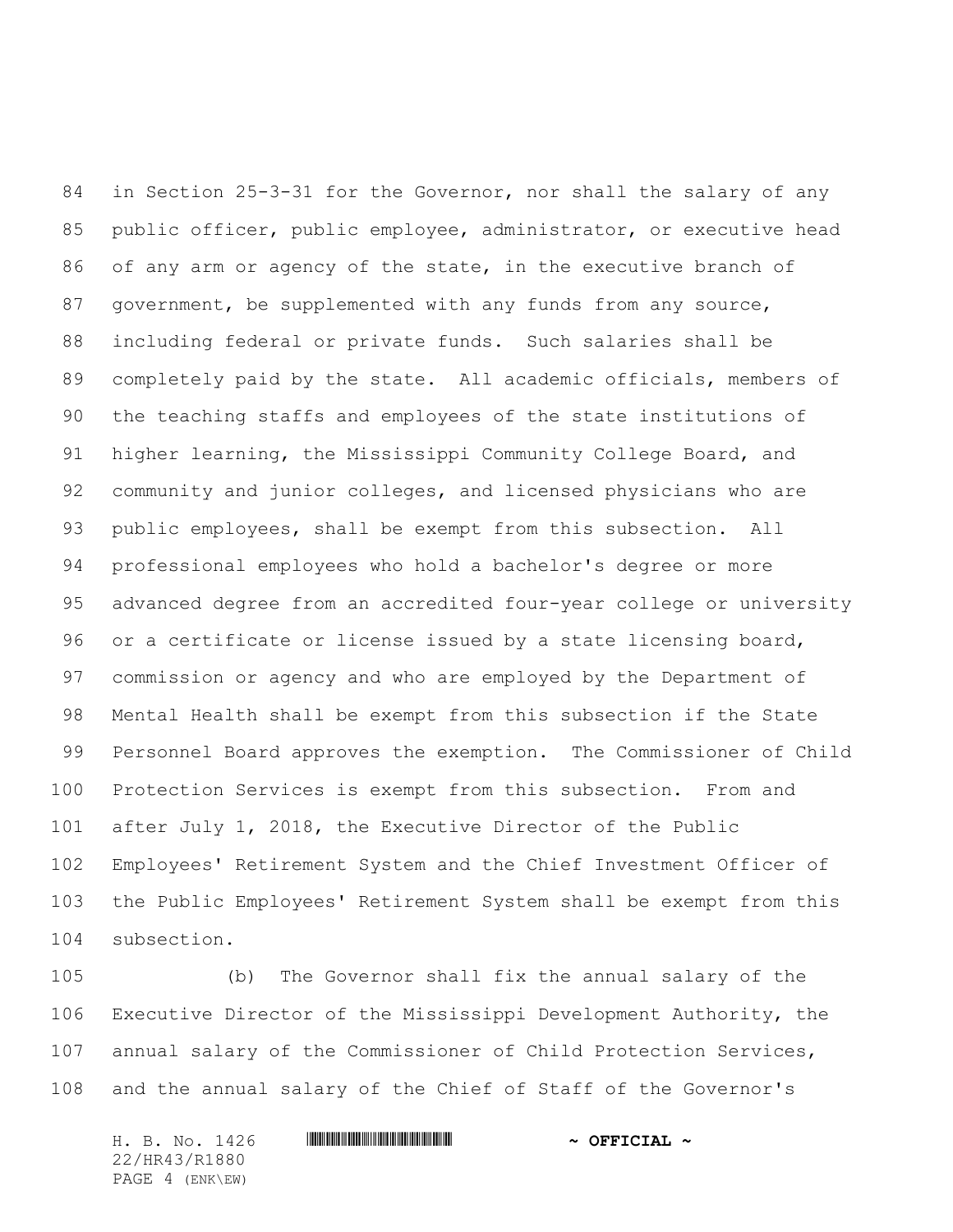in Section 25-3-31 for the Governor, nor shall the salary of any public officer, public employee, administrator, or executive head of any arm or agency of the state, in the executive branch of 87 government, be supplemented with any funds from any source, including federal or private funds. Such salaries shall be completely paid by the state. All academic officials, members of the teaching staffs and employees of the state institutions of higher learning, the Mississippi Community College Board, and community and junior colleges, and licensed physicians who are public employees, shall be exempt from this subsection. All professional employees who hold a bachelor's degree or more advanced degree from an accredited four-year college or university or a certificate or license issued by a state licensing board, commission or agency and who are employed by the Department of Mental Health shall be exempt from this subsection if the State Personnel Board approves the exemption. The Commissioner of Child Protection Services is exempt from this subsection. From and after July 1, 2018, the Executive Director of the Public Employees' Retirement System and the Chief Investment Officer of the Public Employees' Retirement System shall be exempt from this subsection.

 (b) The Governor shall fix the annual salary of the Executive Director of the Mississippi Development Authority, the annual salary of the Commissioner of Child Protection Services, and the annual salary of the Chief of Staff of the Governor's

H. B. No. 1426 \*HR43/R1880\* **~ OFFICIAL ~** 22/HR43/R1880 PAGE 4 (ENK\EW)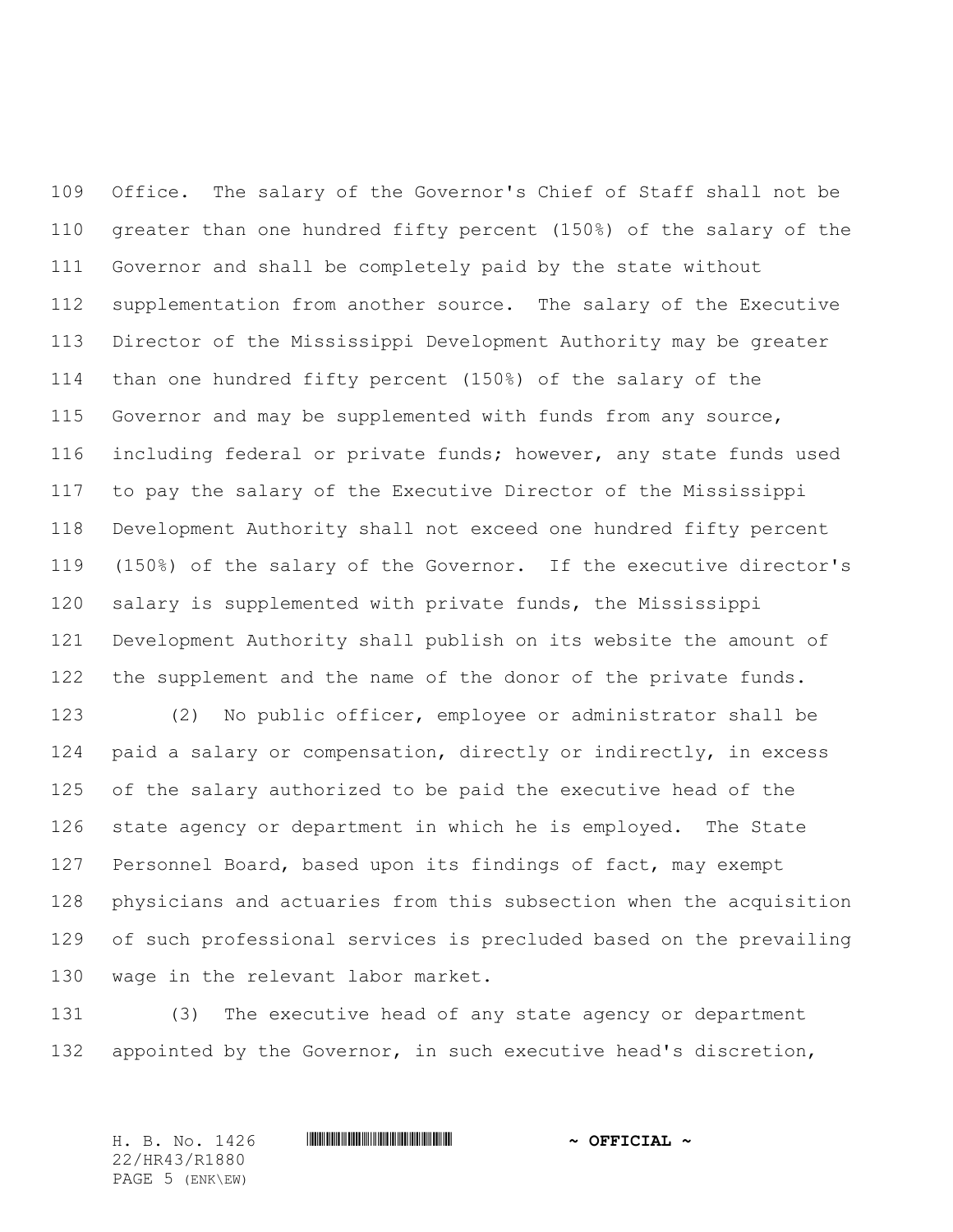Office. The salary of the Governor's Chief of Staff shall not be greater than one hundred fifty percent (150%) of the salary of the Governor and shall be completely paid by the state without supplementation from another source. The salary of the Executive Director of the Mississippi Development Authority may be greater than one hundred fifty percent (150%) of the salary of the Governor and may be supplemented with funds from any source, including federal or private funds; however, any state funds used to pay the salary of the Executive Director of the Mississippi Development Authority shall not exceed one hundred fifty percent (150%) of the salary of the Governor. If the executive director's salary is supplemented with private funds, the Mississippi Development Authority shall publish on its website the amount of the supplement and the name of the donor of the private funds.

 (2) No public officer, employee or administrator shall be paid a salary or compensation, directly or indirectly, in excess of the salary authorized to be paid the executive head of the state agency or department in which he is employed. The State Personnel Board, based upon its findings of fact, may exempt physicians and actuaries from this subsection when the acquisition of such professional services is precluded based on the prevailing wage in the relevant labor market.

 (3) The executive head of any state agency or department appointed by the Governor, in such executive head's discretion,

22/HR43/R1880 PAGE 5 (ENK\EW)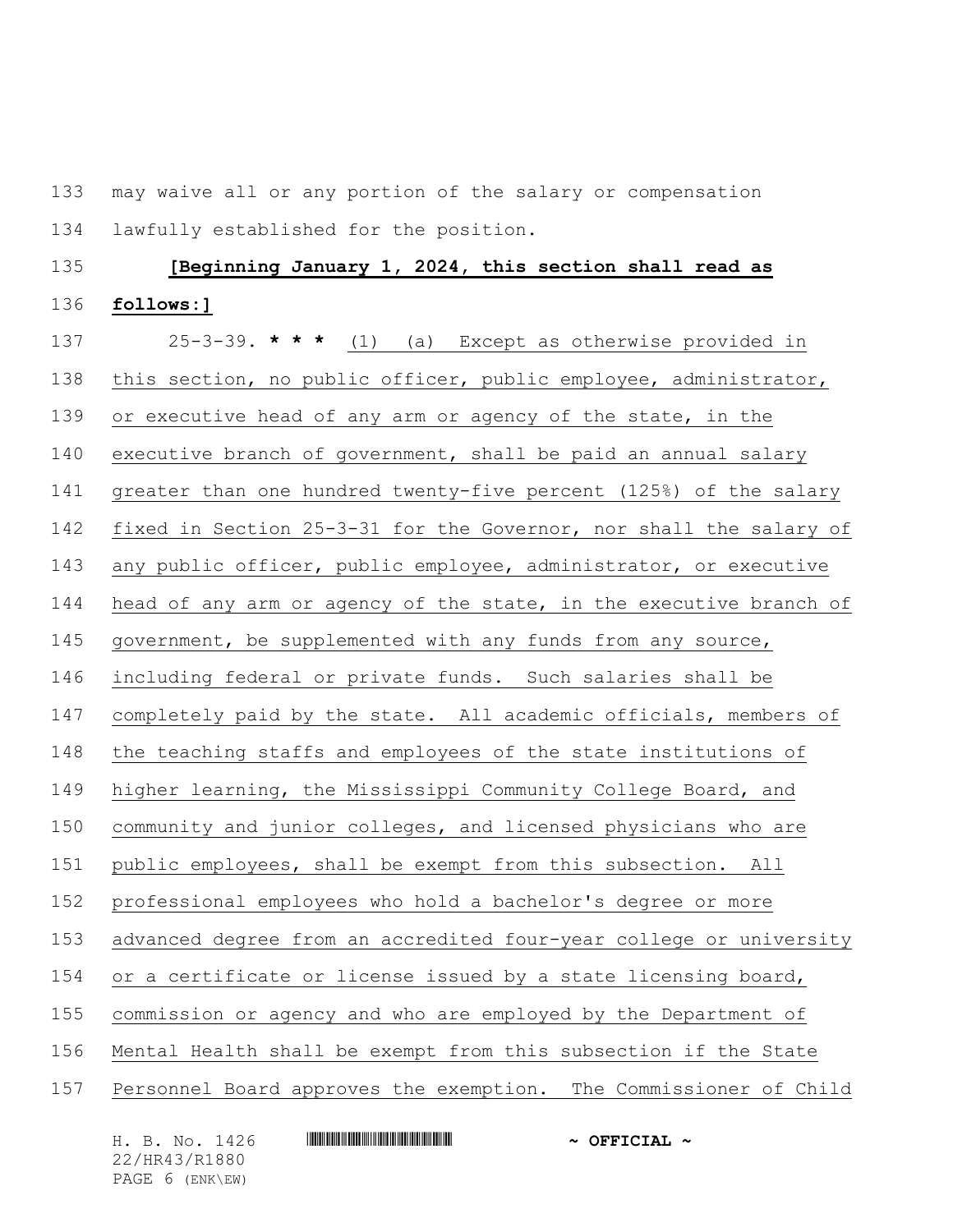may waive all or any portion of the salary or compensation lawfully established for the position.

## **[Beginning January 1, 2024, this section shall read as follows:]**

 25-3-39. **\* \* \*** (1) (a) Except as otherwise provided in this section, no public officer, public employee, administrator, 139 or executive head of any arm or agency of the state, in the executive branch of government, shall be paid an annual salary greater than one hundred twenty-five percent (125%) of the salary fixed in Section 25-3-31 for the Governor, nor shall the salary of any public officer, public employee, administrator, or executive head of any arm or agency of the state, in the executive branch of government, be supplemented with any funds from any source, including federal or private funds. Such salaries shall be completely paid by the state. All academic officials, members of the teaching staffs and employees of the state institutions of higher learning, the Mississippi Community College Board, and community and junior colleges, and licensed physicians who are public employees, shall be exempt from this subsection. All professional employees who hold a bachelor's degree or more advanced degree from an accredited four-year college or university 154 or a certificate or license issued by a state licensing board, commission or agency and who are employed by the Department of Mental Health shall be exempt from this subsection if the State Personnel Board approves the exemption. The Commissioner of Child

22/HR43/R1880 PAGE 6 (ENK\EW)

H. B. No. 1426 **HR444 EXECUTE:**  $\sim$  OFFICIAL ~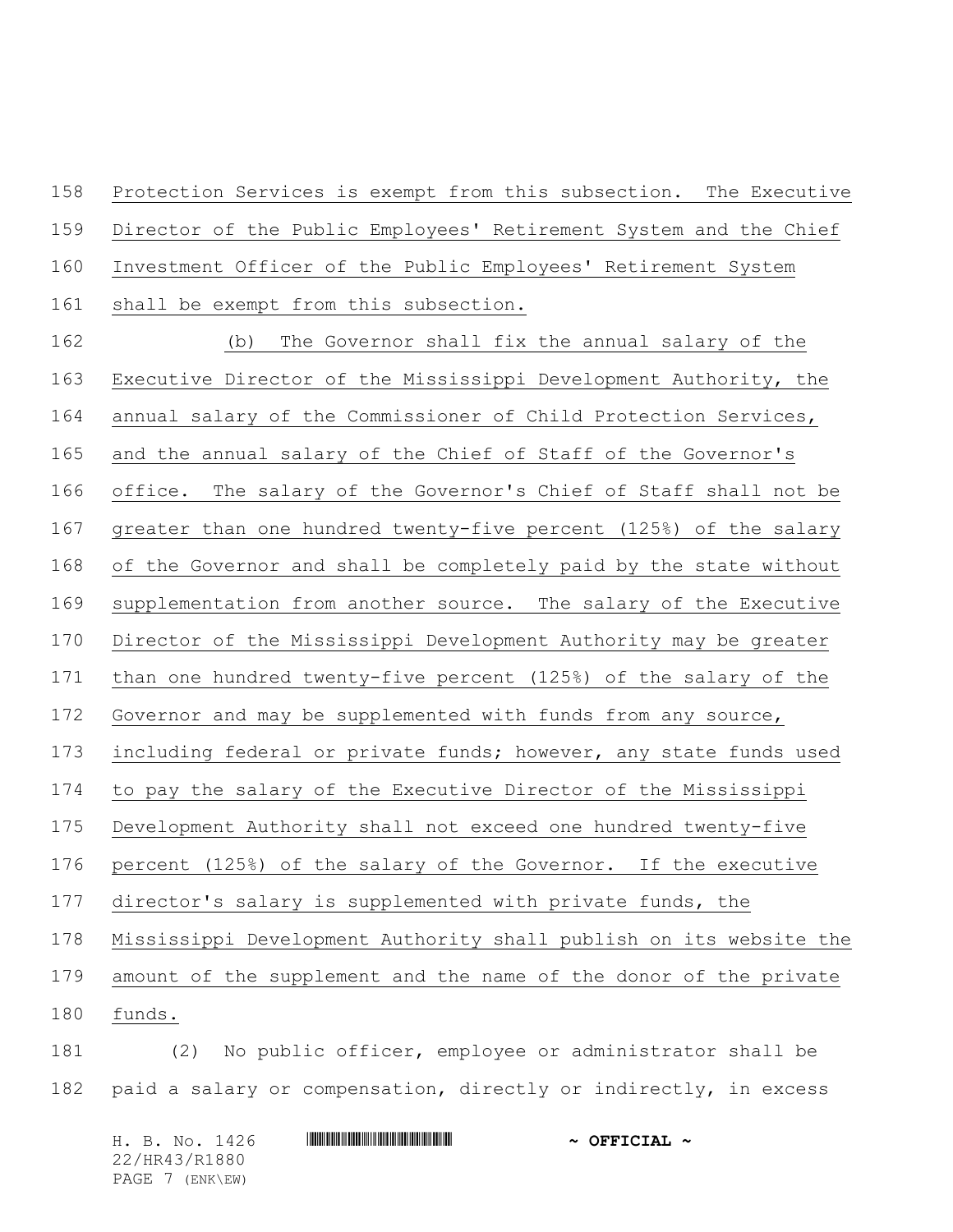Protection Services is exempt from this subsection. The Executive Director of the Public Employees' Retirement System and the Chief Investment Officer of the Public Employees' Retirement System 161 shall be exempt from this subsection.

 (b) The Governor shall fix the annual salary of the Executive Director of the Mississippi Development Authority, the annual salary of the Commissioner of Child Protection Services, and the annual salary of the Chief of Staff of the Governor's office. The salary of the Governor's Chief of Staff shall not be greater than one hundred twenty-five percent (125%) of the salary of the Governor and shall be completely paid by the state without supplementation from another source. The salary of the Executive Director of the Mississippi Development Authority may be greater than one hundred twenty-five percent (125%) of the salary of the Governor and may be supplemented with funds from any source, 173 including federal or private funds; however, any state funds used to pay the salary of the Executive Director of the Mississippi Development Authority shall not exceed one hundred twenty-five percent (125%) of the salary of the Governor. If the executive director's salary is supplemented with private funds, the Mississippi Development Authority shall publish on its website the amount of the supplement and the name of the donor of the private funds. (2) No public officer, employee or administrator shall be paid a salary or compensation, directly or indirectly, in excess

H. B. No. 1426 **HR444 EXECUTE:**  $\sim$  OFFICIAL ~ 22/HR43/R1880 PAGE 7 (ENK\EW)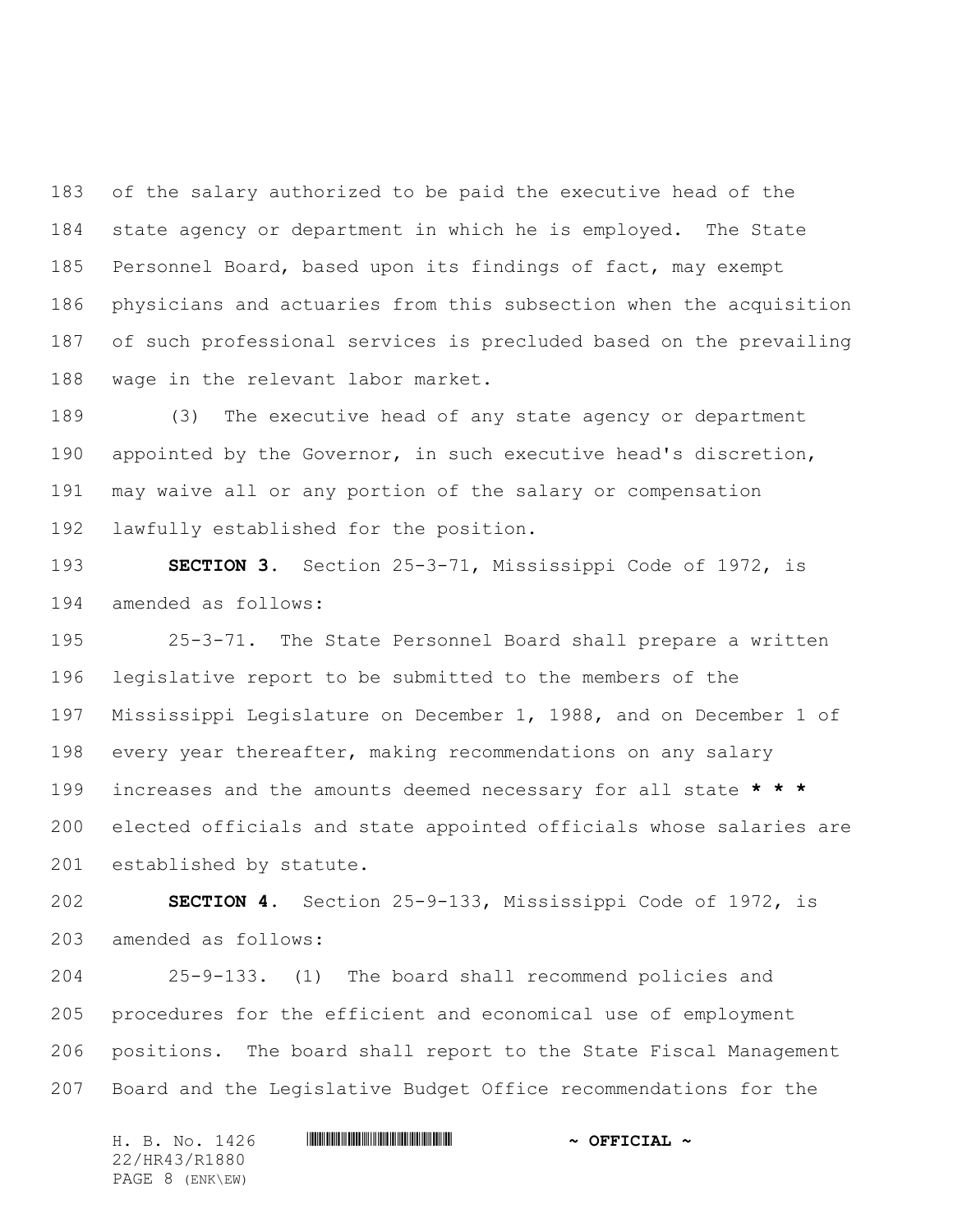of the salary authorized to be paid the executive head of the state agency or department in which he is employed. The State Personnel Board, based upon its findings of fact, may exempt physicians and actuaries from this subsection when the acquisition of such professional services is precluded based on the prevailing wage in the relevant labor market.

 (3) The executive head of any state agency or department appointed by the Governor, in such executive head's discretion, may waive all or any portion of the salary or compensation lawfully established for the position.

 **SECTION 3.** Section 25-3-71, Mississippi Code of 1972, is amended as follows:

 25-3-71. The State Personnel Board shall prepare a written legislative report to be submitted to the members of the Mississippi Legislature on December 1, 1988, and on December 1 of every year thereafter, making recommendations on any salary increases and the amounts deemed necessary for all state **\* \* \*** elected officials and state appointed officials whose salaries are established by statute.

 **SECTION 4.** Section 25-9-133, Mississippi Code of 1972, is amended as follows:

 25-9-133. (1) The board shall recommend policies and procedures for the efficient and economical use of employment positions. The board shall report to the State Fiscal Management Board and the Legislative Budget Office recommendations for the

H. B. No. 1426 \*HR43/R1880\* **~ OFFICIAL ~** 22/HR43/R1880 PAGE 8 (ENK\EW)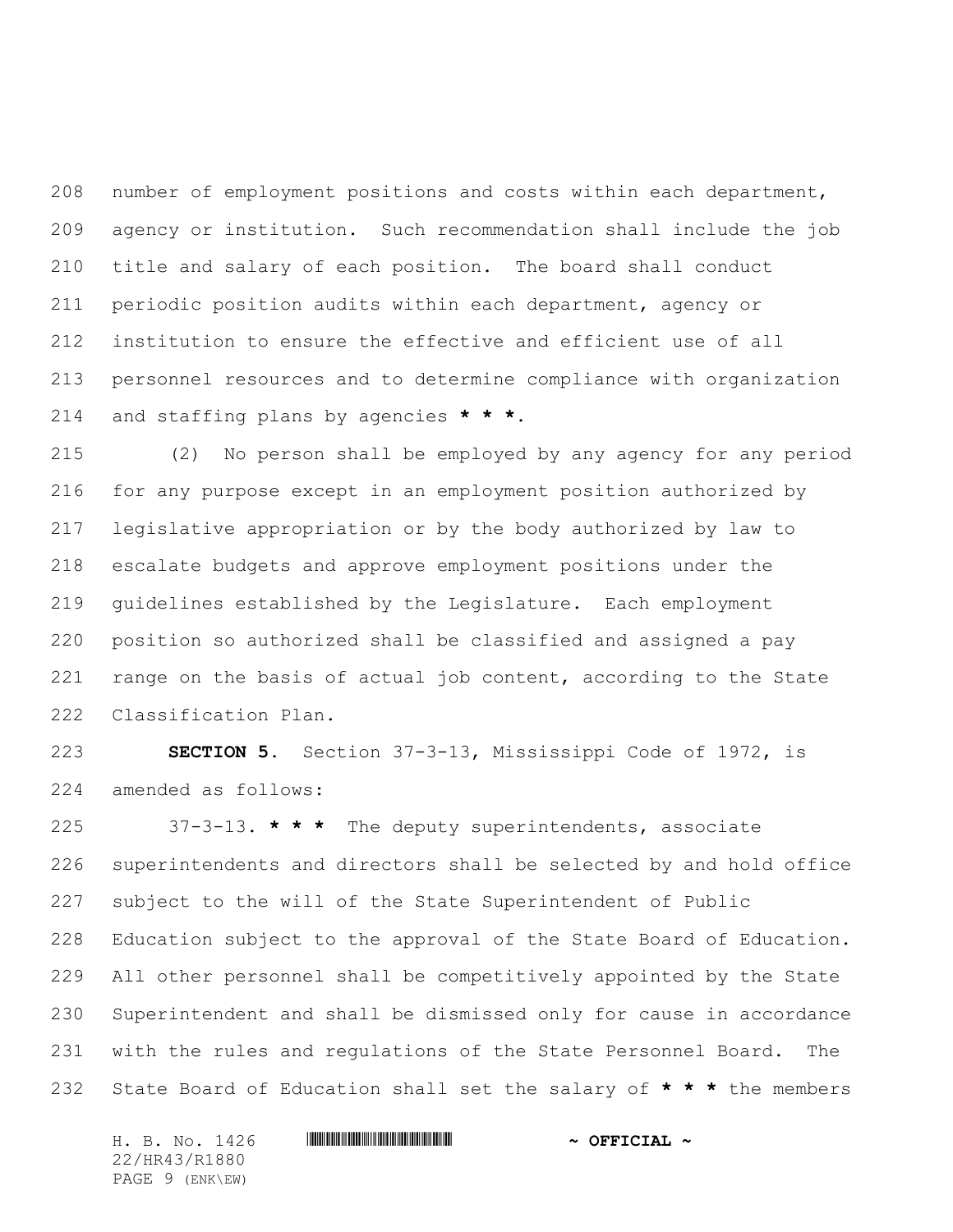number of employment positions and costs within each department, agency or institution. Such recommendation shall include the job title and salary of each position. The board shall conduct periodic position audits within each department, agency or institution to ensure the effective and efficient use of all personnel resources and to determine compliance with organization and staffing plans by agencies **\* \* \***.

 (2) No person shall be employed by any agency for any period for any purpose except in an employment position authorized by legislative appropriation or by the body authorized by law to escalate budgets and approve employment positions under the guidelines established by the Legislature. Each employment position so authorized shall be classified and assigned a pay 221 range on the basis of actual job content, according to the State Classification Plan.

 **SECTION 5.** Section 37-3-13, Mississippi Code of 1972, is amended as follows:

 37-3-13. **\* \* \*** The deputy superintendents, associate superintendents and directors shall be selected by and hold office subject to the will of the State Superintendent of Public Education subject to the approval of the State Board of Education. All other personnel shall be competitively appointed by the State Superintendent and shall be dismissed only for cause in accordance with the rules and regulations of the State Personnel Board. The State Board of Education shall set the salary of **\* \* \*** the members

H. B. No. 1426 \*HR43/R1880\* **~ OFFICIAL ~** 22/HR43/R1880 PAGE 9 (ENK\EW)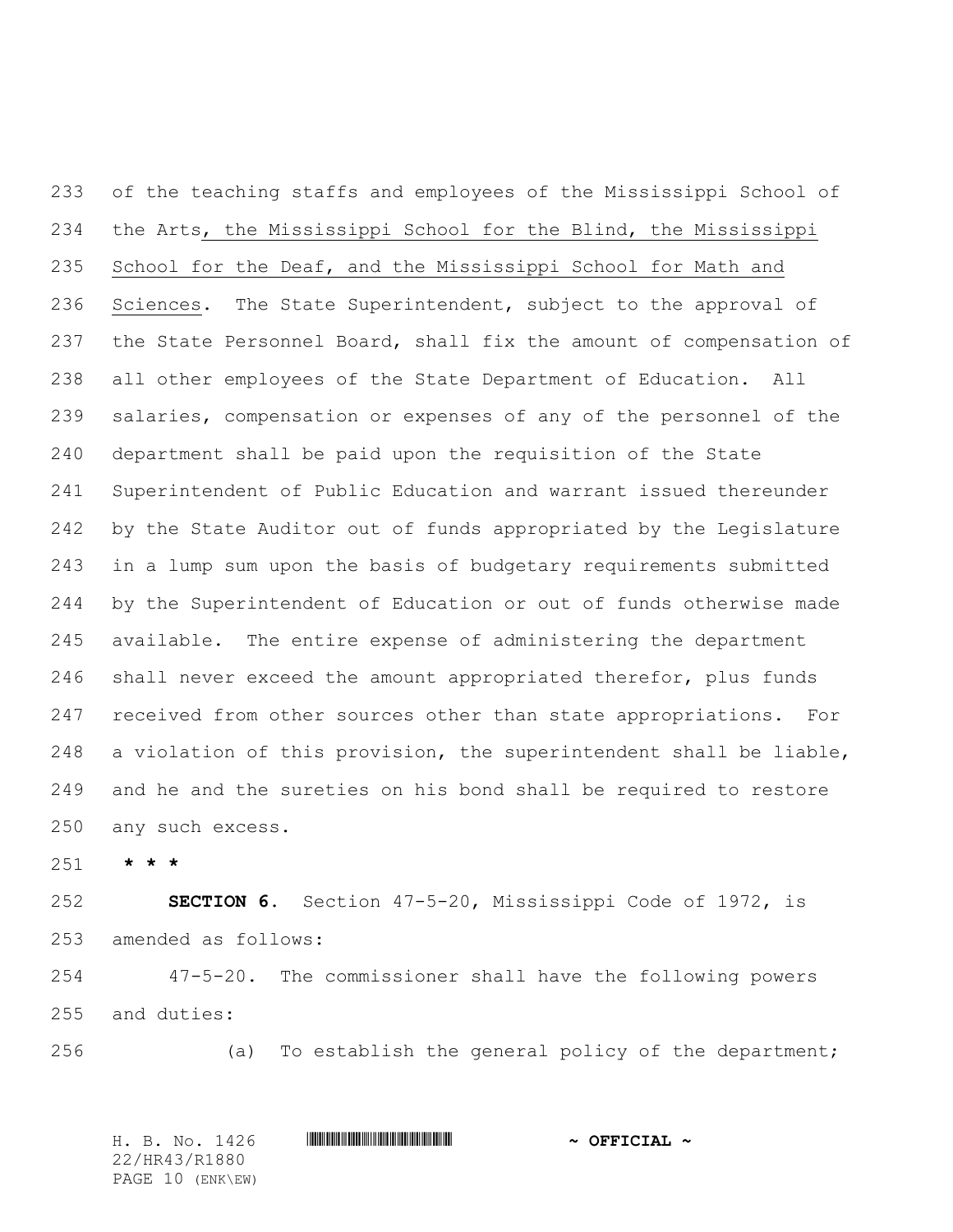of the teaching staffs and employees of the Mississippi School of the Arts, the Mississippi School for the Blind, the Mississippi School for the Deaf, and the Mississippi School for Math and 236 Sciences. The State Superintendent, subject to the approval of the State Personnel Board, shall fix the amount of compensation of all other employees of the State Department of Education. All salaries, compensation or expenses of any of the personnel of the department shall be paid upon the requisition of the State Superintendent of Public Education and warrant issued thereunder by the State Auditor out of funds appropriated by the Legislature in a lump sum upon the basis of budgetary requirements submitted by the Superintendent of Education or out of funds otherwise made available. The entire expense of administering the department shall never exceed the amount appropriated therefor, plus funds 247 received from other sources other than state appropriations. For a violation of this provision, the superintendent shall be liable, and he and the sureties on his bond shall be required to restore any such excess.

**\* \* \***

 **SECTION 6.** Section 47-5-20, Mississippi Code of 1972, is amended as follows:

 47-5-20. The commissioner shall have the following powers and duties:

(a) To establish the general policy of the department;

H. B. No. 1426 \*HR43/R1880\* **~ OFFICIAL ~** 22/HR43/R1880 PAGE 10 (ENK\EW)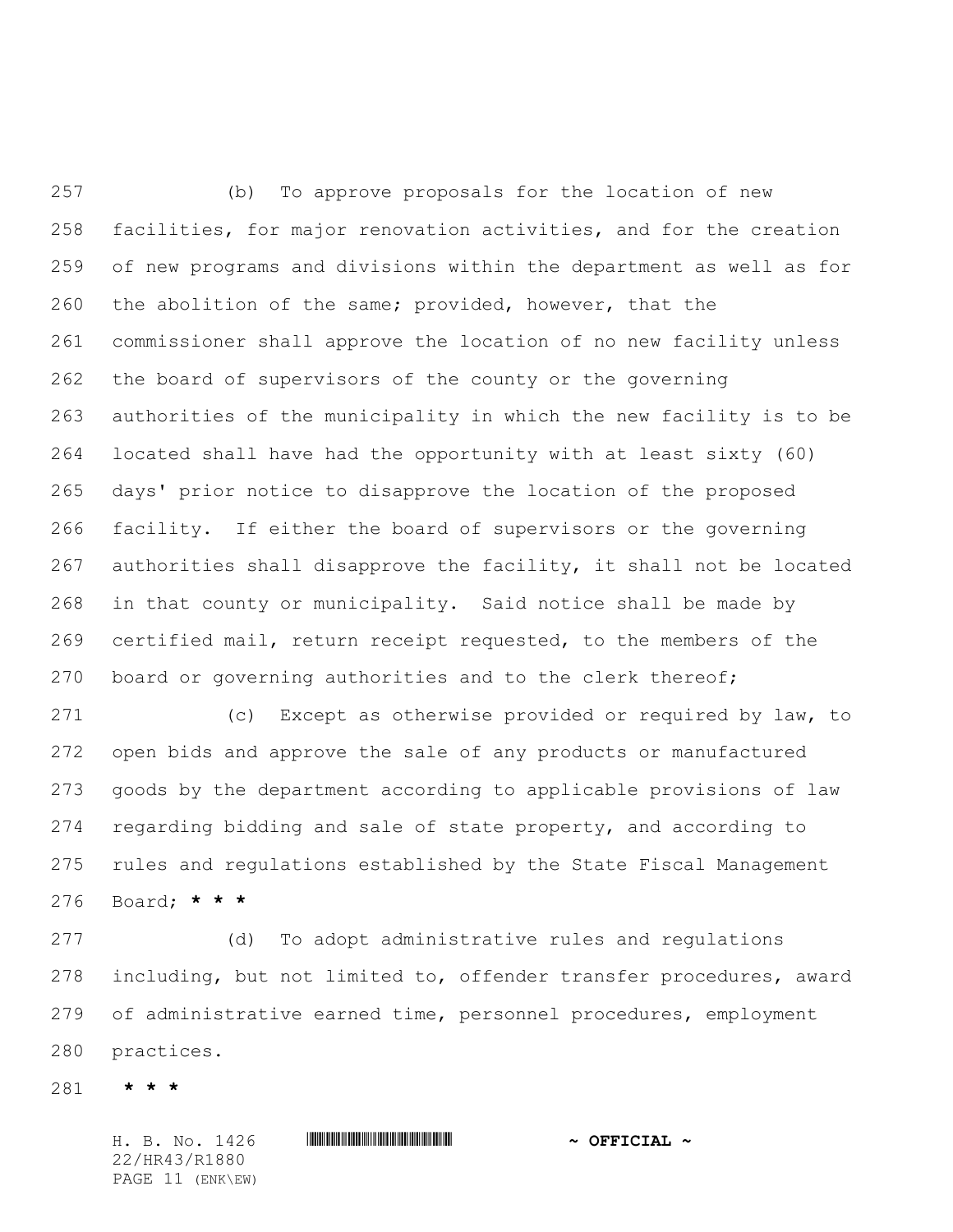(b) To approve proposals for the location of new facilities, for major renovation activities, and for the creation of new programs and divisions within the department as well as for the abolition of the same; provided, however, that the commissioner shall approve the location of no new facility unless the board of supervisors of the county or the governing authorities of the municipality in which the new facility is to be located shall have had the opportunity with at least sixty (60) days' prior notice to disapprove the location of the proposed facility. If either the board of supervisors or the governing authorities shall disapprove the facility, it shall not be located in that county or municipality. Said notice shall be made by certified mail, return receipt requested, to the members of the board or governing authorities and to the clerk thereof;

 (c) Except as otherwise provided or required by law, to open bids and approve the sale of any products or manufactured goods by the department according to applicable provisions of law regarding bidding and sale of state property, and according to rules and regulations established by the State Fiscal Management Board; **\* \* \***

 (d) To adopt administrative rules and regulations including, but not limited to, offender transfer procedures, award of administrative earned time, personnel procedures, employment practices.

**\* \* \***

22/HR43/R1880 PAGE 11 (ENK\EW)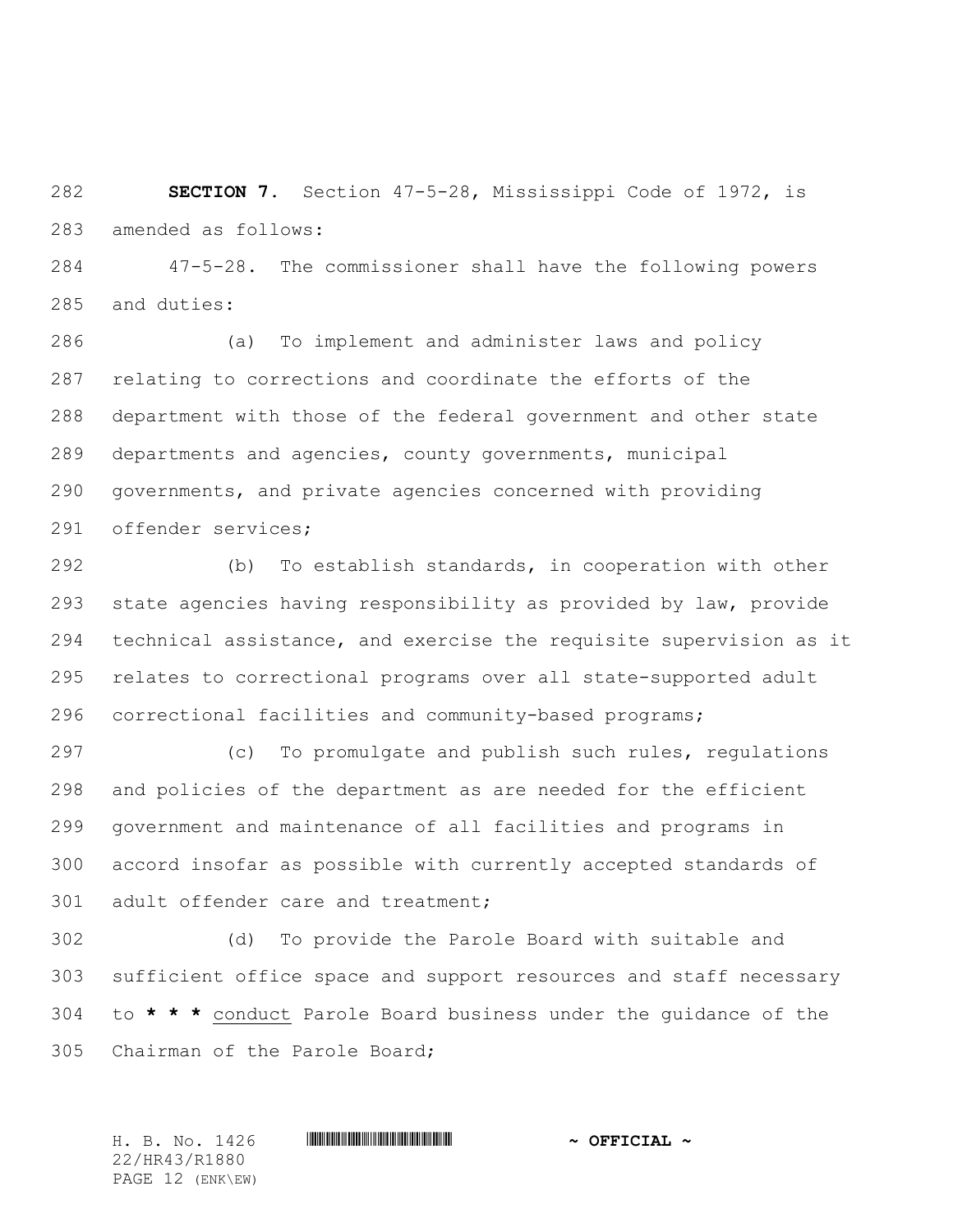**SECTION 7.** Section 47-5-28, Mississippi Code of 1972, is amended as follows:

 47-5-28. The commissioner shall have the following powers and duties:

 (a) To implement and administer laws and policy relating to corrections and coordinate the efforts of the department with those of the federal government and other state departments and agencies, county governments, municipal governments, and private agencies concerned with providing offender services;

 (b) To establish standards, in cooperation with other state agencies having responsibility as provided by law, provide technical assistance, and exercise the requisite supervision as it relates to correctional programs over all state-supported adult correctional facilities and community-based programs;

 (c) To promulgate and publish such rules, regulations and policies of the department as are needed for the efficient government and maintenance of all facilities and programs in accord insofar as possible with currently accepted standards of 301 adult offender care and treatment;

 (d) To provide the Parole Board with suitable and sufficient office space and support resources and staff necessary to **\* \* \*** conduct Parole Board business under the guidance of the Chairman of the Parole Board;

22/HR43/R1880 PAGE 12 (ENK\EW)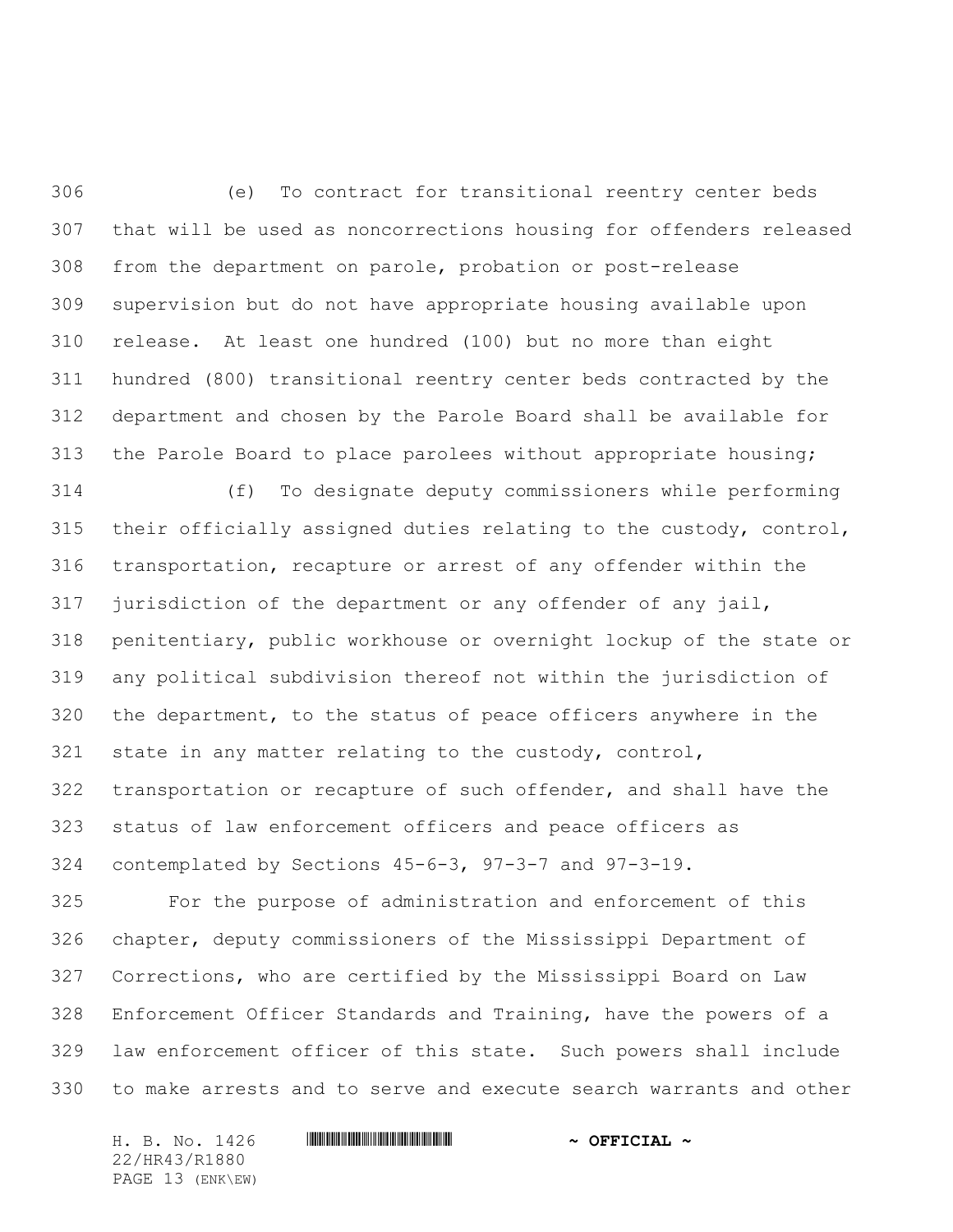(e) To contract for transitional reentry center beds that will be used as noncorrections housing for offenders released from the department on parole, probation or post-release supervision but do not have appropriate housing available upon release. At least one hundred (100) but no more than eight hundred (800) transitional reentry center beds contracted by the department and chosen by the Parole Board shall be available for the Parole Board to place parolees without appropriate housing;

 (f) To designate deputy commissioners while performing their officially assigned duties relating to the custody, control, transportation, recapture or arrest of any offender within the jurisdiction of the department or any offender of any jail, penitentiary, public workhouse or overnight lockup of the state or any political subdivision thereof not within the jurisdiction of the department, to the status of peace officers anywhere in the state in any matter relating to the custody, control, transportation or recapture of such offender, and shall have the status of law enforcement officers and peace officers as contemplated by Sections 45-6-3, 97-3-7 and 97-3-19.

 For the purpose of administration and enforcement of this chapter, deputy commissioners of the Mississippi Department of Corrections, who are certified by the Mississippi Board on Law Enforcement Officer Standards and Training, have the powers of a law enforcement officer of this state. Such powers shall include to make arrests and to serve and execute search warrants and other

22/HR43/R1880 PAGE 13 (ENK\EW)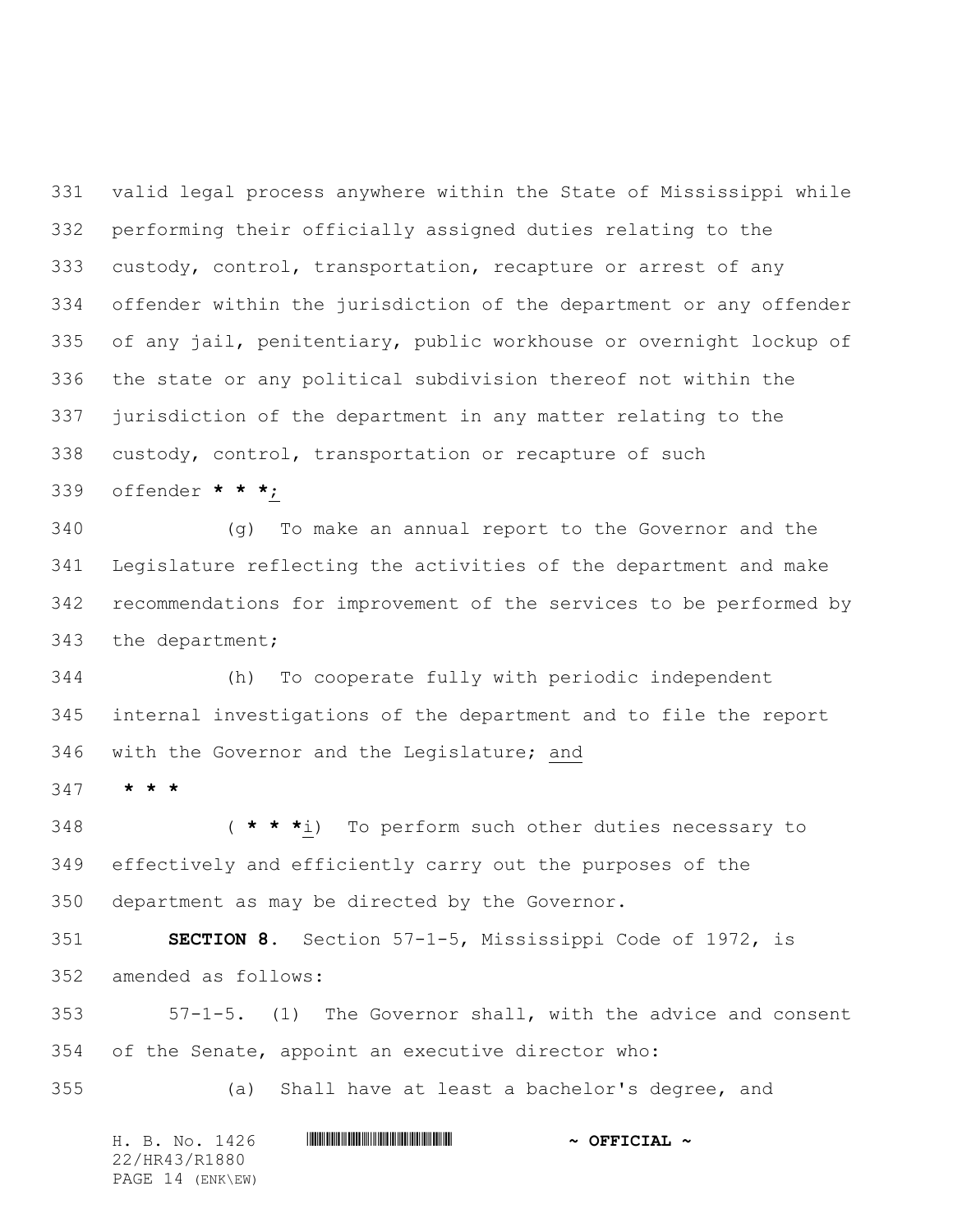valid legal process anywhere within the State of Mississippi while performing their officially assigned duties relating to the custody, control, transportation, recapture or arrest of any offender within the jurisdiction of the department or any offender of any jail, penitentiary, public workhouse or overnight lockup of the state or any political subdivision thereof not within the jurisdiction of the department in any matter relating to the custody, control, transportation or recapture of such

offender **\* \* \***;

 (g) To make an annual report to the Governor and the Legislature reflecting the activities of the department and make recommendations for improvement of the services to be performed by the department;

 (h) To cooperate fully with periodic independent internal investigations of the department and to file the report with the Governor and the Legislature; and

**\* \* \***

 ( **\* \* \***i) To perform such other duties necessary to effectively and efficiently carry out the purposes of the department as may be directed by the Governor.

 **SECTION 8.** Section 57-1-5, Mississippi Code of 1972, is amended as follows:

 57-1-5. (1) The Governor shall, with the advice and consent of the Senate, appoint an executive director who:

(a) Shall have at least a bachelor's degree, and

H. B. No. 1426 \*HR43/R1880\* **~ OFFICIAL ~** 22/HR43/R1880 PAGE 14 (ENK\EW)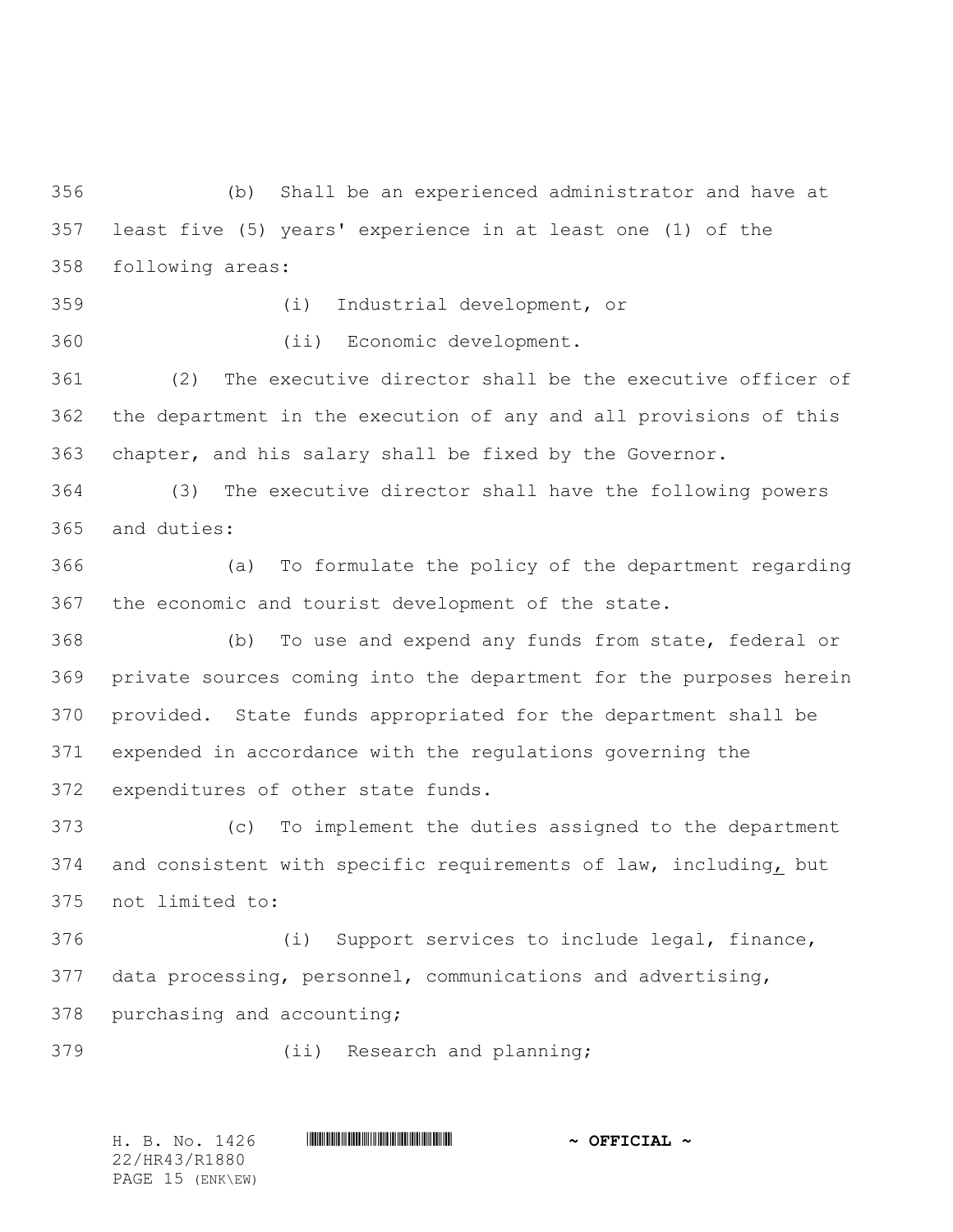(b) Shall be an experienced administrator and have at least five (5) years' experience in at least one (1) of the following areas:

(i) Industrial development, or

(ii) Economic development.

 (2) The executive director shall be the executive officer of the department in the execution of any and all provisions of this chapter, and his salary shall be fixed by the Governor.

 (3) The executive director shall have the following powers and duties:

 (a) To formulate the policy of the department regarding the economic and tourist development of the state.

 (b) To use and expend any funds from state, federal or private sources coming into the department for the purposes herein provided. State funds appropriated for the department shall be expended in accordance with the regulations governing the expenditures of other state funds.

 (c) To implement the duties assigned to the department and consistent with specific requirements of law, including, but not limited to:

 (i) Support services to include legal, finance, data processing, personnel, communications and advertising, purchasing and accounting;

(ii) Research and planning;

H. B. No. 1426 \*HR43/R1880\* **~ OFFICIAL ~** 22/HR43/R1880 PAGE 15 (ENK\EW)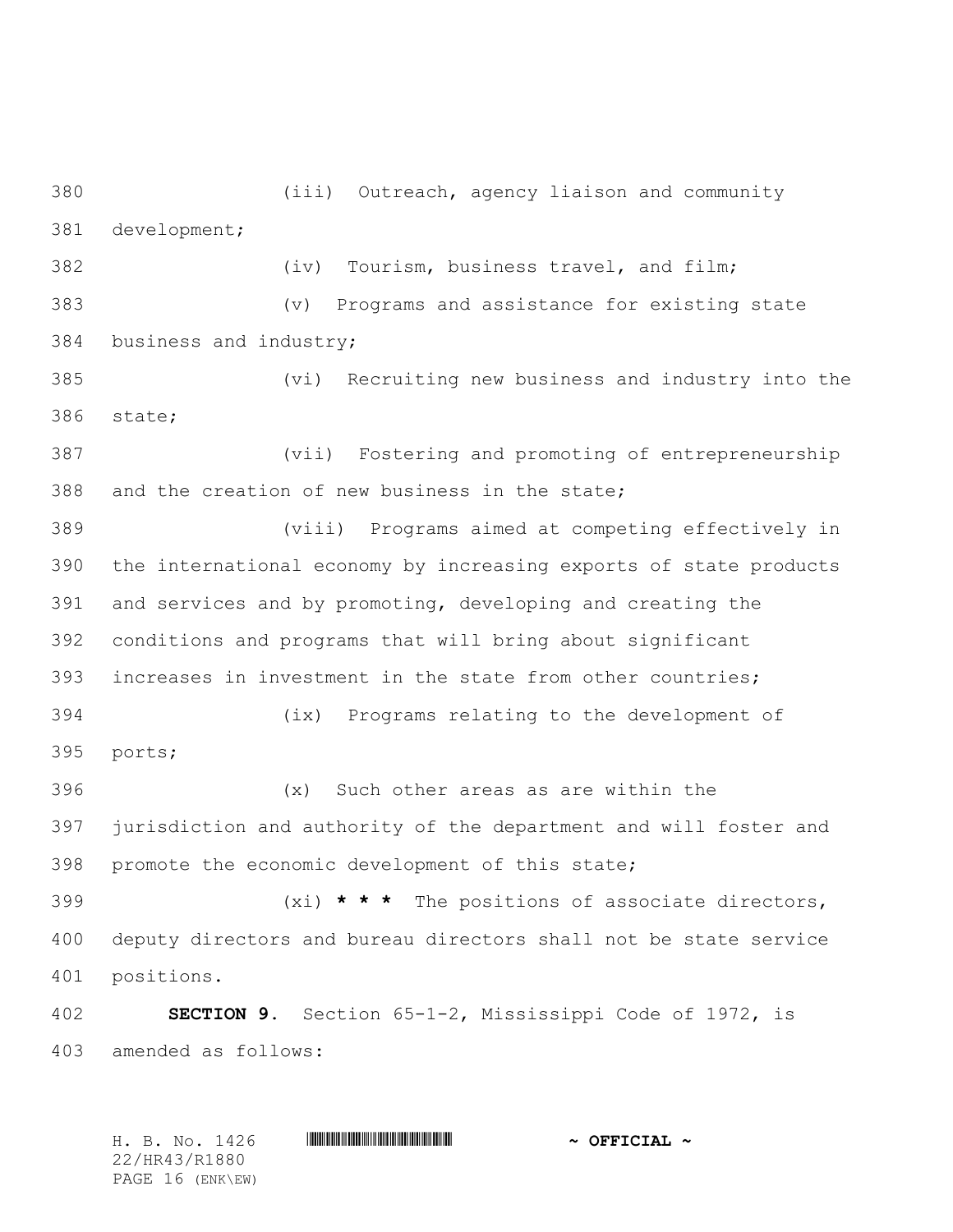(iv) Tourism, business travel, and film; (v) Programs and assistance for existing state business and industry; (vi) Recruiting new business and industry into the state; (vii) Fostering and promoting of entrepreneurship and the creation of new business in the state; (viii) Programs aimed at competing effectively in the international economy by increasing exports of state products and services and by promoting, developing and creating the conditions and programs that will bring about significant increases in investment in the state from other countries; (ix) Programs relating to the development of ports; (x) Such other areas as are within the jurisdiction and authority of the department and will foster and promote the economic development of this state; (xi) **\* \* \*** The positions of associate directors, deputy directors and bureau directors shall not be state service positions. **SECTION 9.** Section 65-1-2, Mississippi Code of 1972, is amended as follows:

(iii) Outreach, agency liaison and community

development;

H. B. No. 1426 \*HR43/R1880\* **~ OFFICIAL ~** 22/HR43/R1880 PAGE 16 (ENK\EW)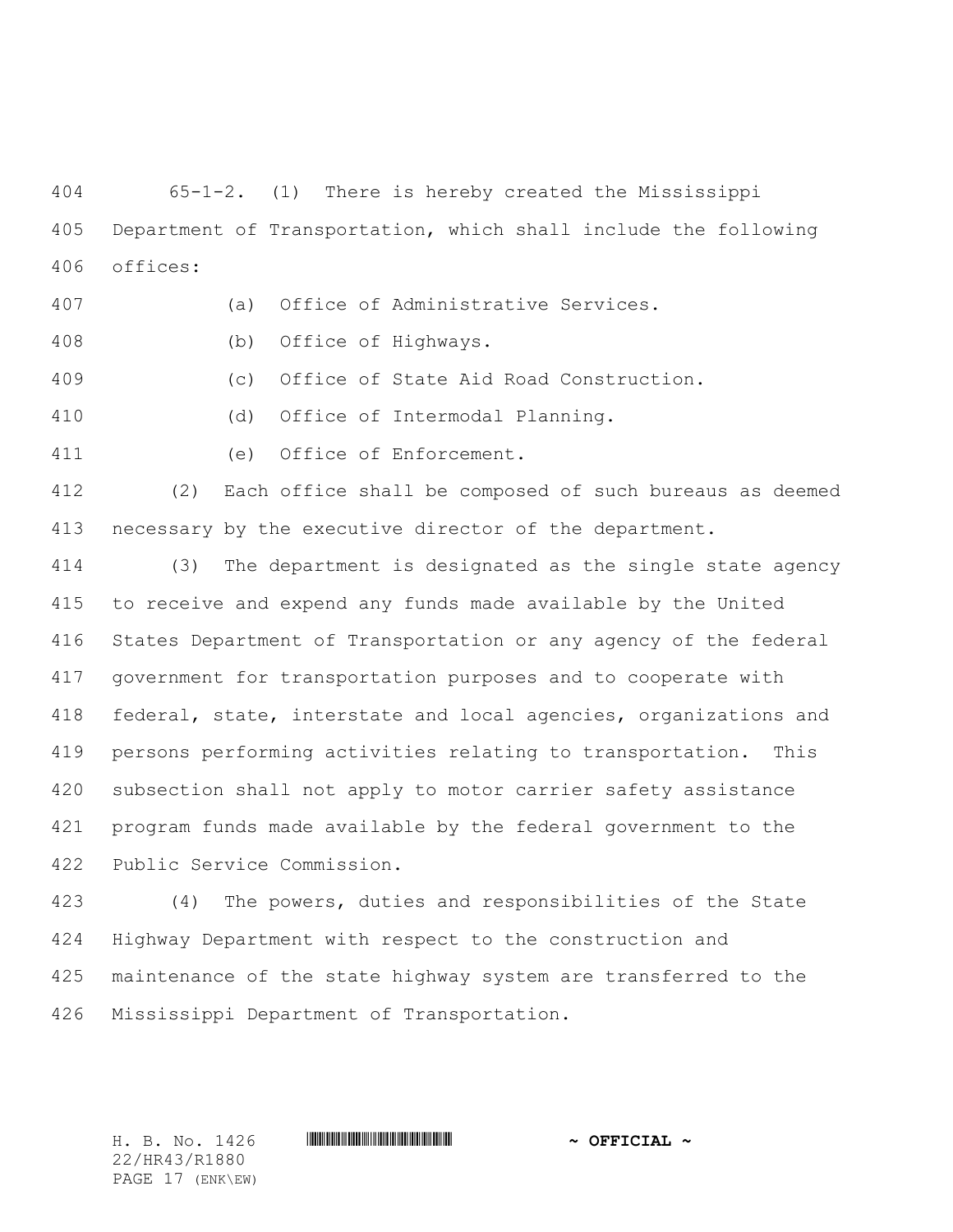65-1-2. (1) There is hereby created the Mississippi Department of Transportation, which shall include the following offices:

- (a) Office of Administrative Services.
- (b) Office of Highways.
- (c) Office of State Aid Road Construction.
- (d) Office of Intermodal Planning.
- (e) Office of Enforcement.

 (2) Each office shall be composed of such bureaus as deemed necessary by the executive director of the department.

 (3) The department is designated as the single state agency to receive and expend any funds made available by the United States Department of Transportation or any agency of the federal government for transportation purposes and to cooperate with federal, state, interstate and local agencies, organizations and persons performing activities relating to transportation. This subsection shall not apply to motor carrier safety assistance program funds made available by the federal government to the Public Service Commission.

 (4) The powers, duties and responsibilities of the State Highway Department with respect to the construction and maintenance of the state highway system are transferred to the Mississippi Department of Transportation.

22/HR43/R1880 PAGE 17 (ENK\EW)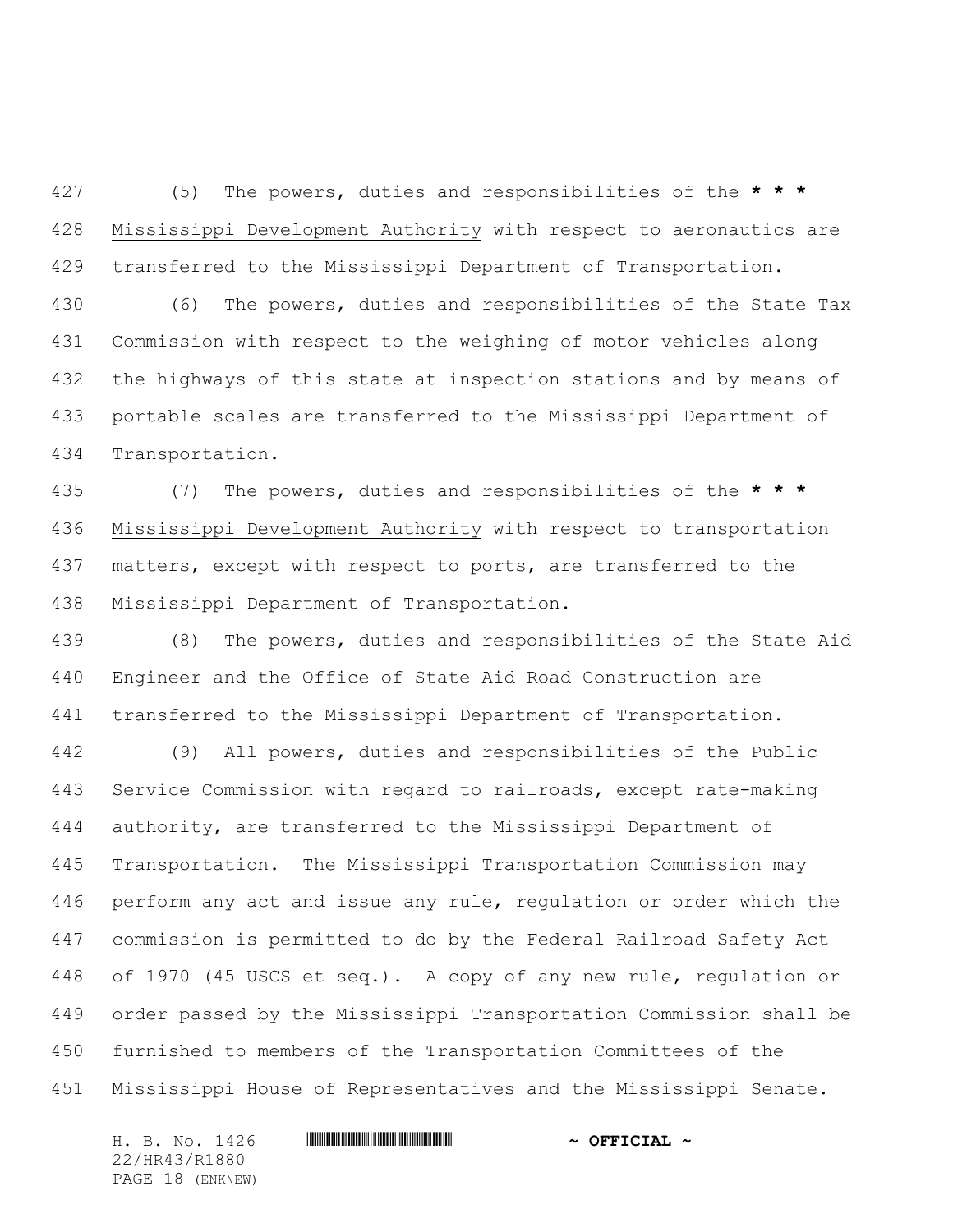(5) The powers, duties and responsibilities of the **\* \* \*** Mississippi Development Authority with respect to aeronautics are transferred to the Mississippi Department of Transportation.

 (6) The powers, duties and responsibilities of the State Tax Commission with respect to the weighing of motor vehicles along the highways of this state at inspection stations and by means of portable scales are transferred to the Mississippi Department of Transportation.

 (7) The powers, duties and responsibilities of the **\* \* \*** Mississippi Development Authority with respect to transportation matters, except with respect to ports, are transferred to the Mississippi Department of Transportation.

 (8) The powers, duties and responsibilities of the State Aid Engineer and the Office of State Aid Road Construction are transferred to the Mississippi Department of Transportation.

 (9) All powers, duties and responsibilities of the Public Service Commission with regard to railroads, except rate-making authority, are transferred to the Mississippi Department of Transportation. The Mississippi Transportation Commission may perform any act and issue any rule, regulation or order which the commission is permitted to do by the Federal Railroad Safety Act of 1970 (45 USCS et seq.). A copy of any new rule, regulation or order passed by the Mississippi Transportation Commission shall be furnished to members of the Transportation Committees of the Mississippi House of Representatives and the Mississippi Senate.

H. B. No. 1426 \*HR43/R1880\* **~ OFFICIAL ~** 22/HR43/R1880 PAGE 18 (ENK\EW)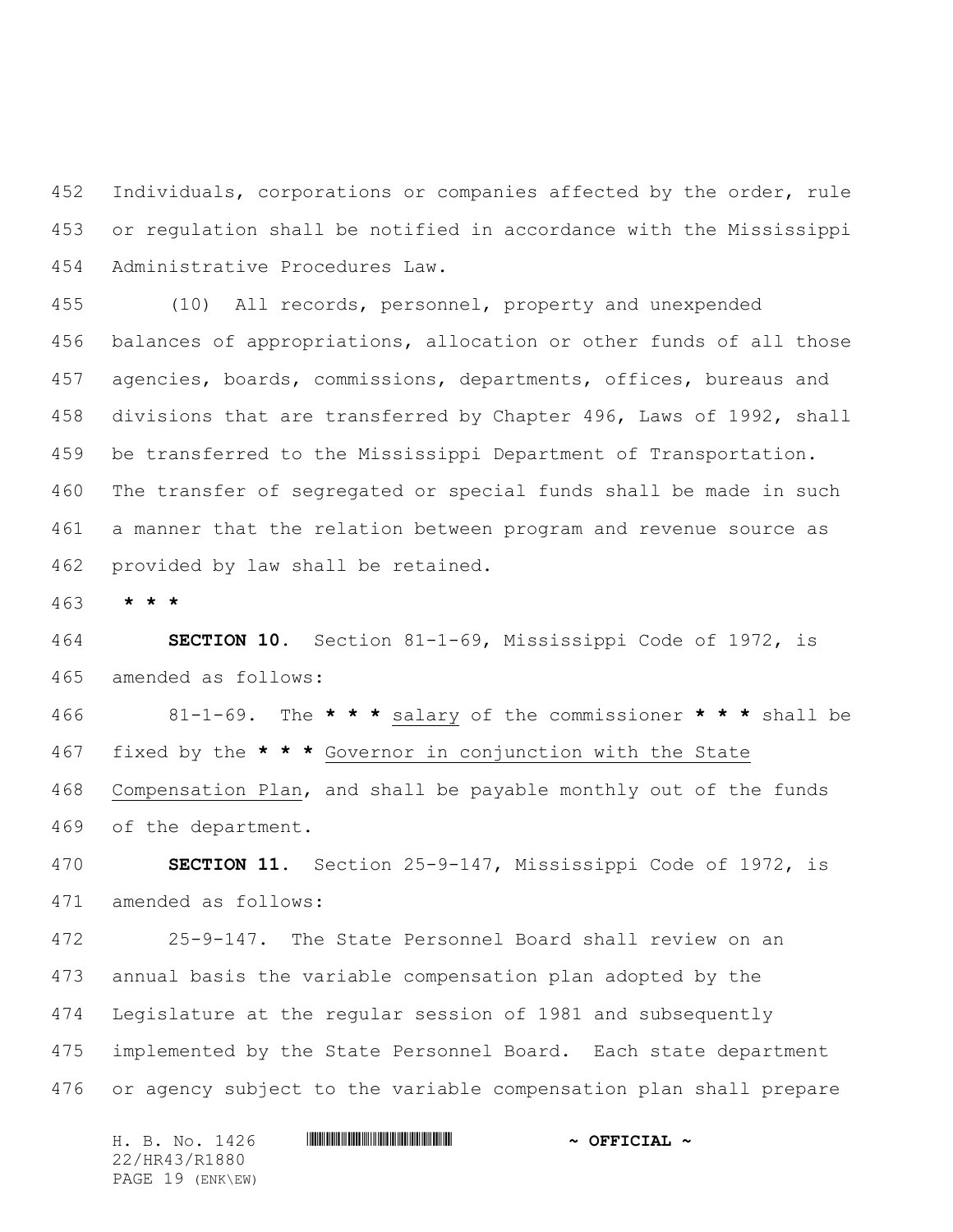Individuals, corporations or companies affected by the order, rule or regulation shall be notified in accordance with the Mississippi Administrative Procedures Law.

 (10) All records, personnel, property and unexpended balances of appropriations, allocation or other funds of all those agencies, boards, commissions, departments, offices, bureaus and divisions that are transferred by Chapter 496, Laws of 1992, shall be transferred to the Mississippi Department of Transportation. The transfer of segregated or special funds shall be made in such a manner that the relation between program and revenue source as provided by law shall be retained.

**\* \* \***

 **SECTION 10.** Section 81-1-69, Mississippi Code of 1972, is amended as follows:

 81-1-69. The **\* \* \*** salary of the commissioner **\* \* \*** shall be fixed by the **\* \* \*** Governor in conjunction with the State Compensation Plan, and shall be payable monthly out of the funds of the department.

 **SECTION 11.** Section 25-9-147, Mississippi Code of 1972, is amended as follows:

 25-9-147. The State Personnel Board shall review on an annual basis the variable compensation plan adopted by the Legislature at the regular session of 1981 and subsequently implemented by the State Personnel Board. Each state department or agency subject to the variable compensation plan shall prepare

H. B. No. 1426 \*HR43/R1880\* **~ OFFICIAL ~** 22/HR43/R1880 PAGE 19 (ENK\EW)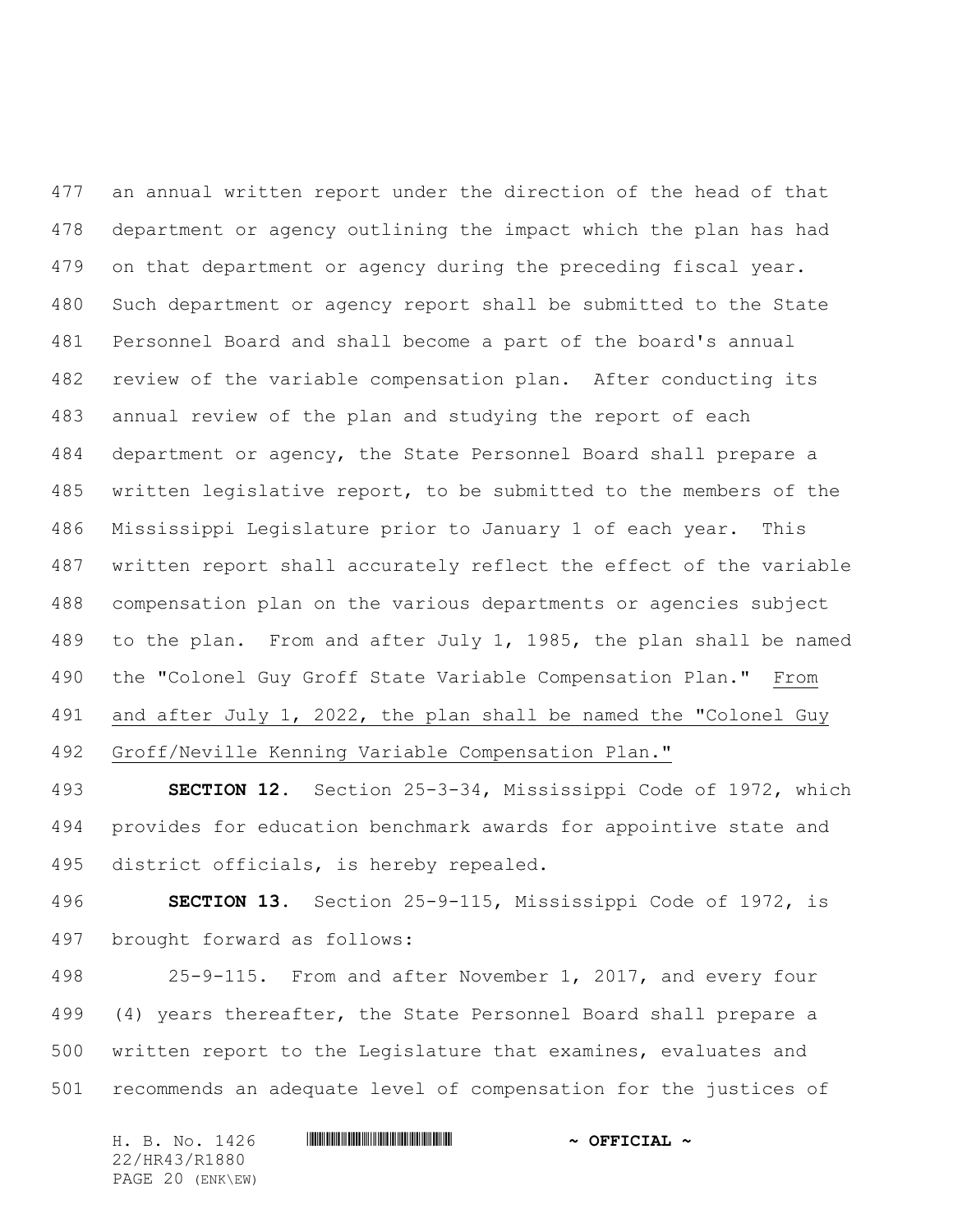an annual written report under the direction of the head of that department or agency outlining the impact which the plan has had on that department or agency during the preceding fiscal year. Such department or agency report shall be submitted to the State Personnel Board and shall become a part of the board's annual review of the variable compensation plan. After conducting its annual review of the plan and studying the report of each department or agency, the State Personnel Board shall prepare a written legislative report, to be submitted to the members of the Mississippi Legislature prior to January 1 of each year. This written report shall accurately reflect the effect of the variable compensation plan on the various departments or agencies subject to the plan. From and after July 1, 1985, the plan shall be named the "Colonel Guy Groff State Variable Compensation Plan." From and after July 1, 2022, the plan shall be named the "Colonel Guy Groff/Neville Kenning Variable Compensation Plan."

 **SECTION 12.** Section 25-3-34, Mississippi Code of 1972, which provides for education benchmark awards for appointive state and district officials, is hereby repealed.

 **SECTION 13.** Section 25-9-115, Mississippi Code of 1972, is brought forward as follows:

 25-9-115. From and after November 1, 2017, and every four (4) years thereafter, the State Personnel Board shall prepare a written report to the Legislature that examines, evaluates and recommends an adequate level of compensation for the justices of

H. B. No. 1426 **HR444 EXECUTE:**  $\sim$  OFFICIAL ~ 22/HR43/R1880

PAGE 20 (ENK\EW)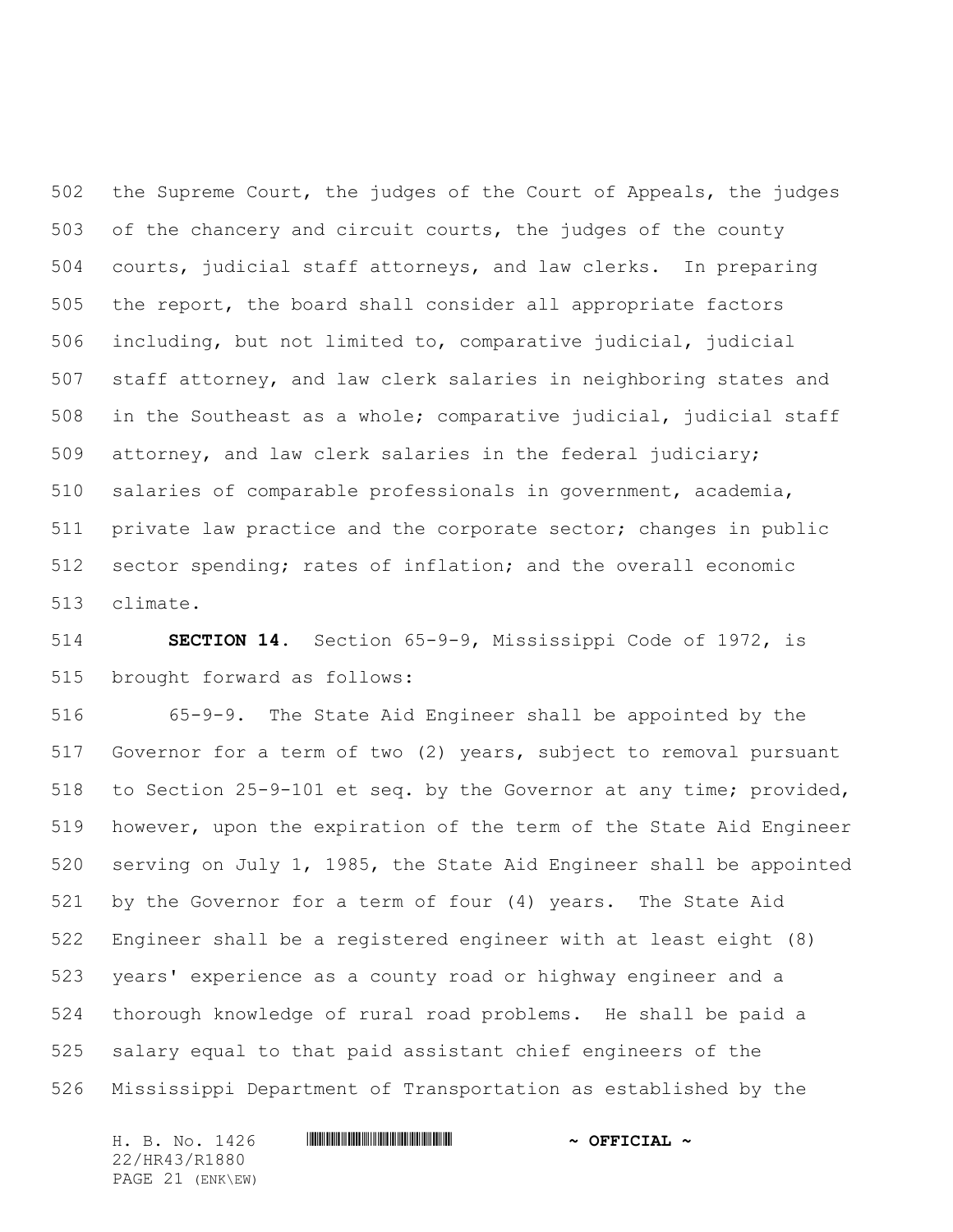the Supreme Court, the judges of the Court of Appeals, the judges of the chancery and circuit courts, the judges of the county courts, judicial staff attorneys, and law clerks. In preparing the report, the board shall consider all appropriate factors including, but not limited to, comparative judicial, judicial staff attorney, and law clerk salaries in neighboring states and in the Southeast as a whole; comparative judicial, judicial staff attorney, and law clerk salaries in the federal judiciary; salaries of comparable professionals in government, academia, 511 private law practice and the corporate sector; changes in public sector spending; rates of inflation; and the overall economic climate.

 **SECTION 14.** Section 65-9-9, Mississippi Code of 1972, is brought forward as follows:

 65-9-9. The State Aid Engineer shall be appointed by the Governor for a term of two (2) years, subject to removal pursuant to Section 25-9-101 et seq. by the Governor at any time; provided, however, upon the expiration of the term of the State Aid Engineer serving on July 1, 1985, the State Aid Engineer shall be appointed by the Governor for a term of four (4) years. The State Aid Engineer shall be a registered engineer with at least eight (8) years' experience as a county road or highway engineer and a thorough knowledge of rural road problems. He shall be paid a salary equal to that paid assistant chief engineers of the Mississippi Department of Transportation as established by the

H. B. No. 1426 **HR444 EXECUTE:**  $\sim$  OFFICIAL ~ 22/HR43/R1880 PAGE 21 (ENK\EW)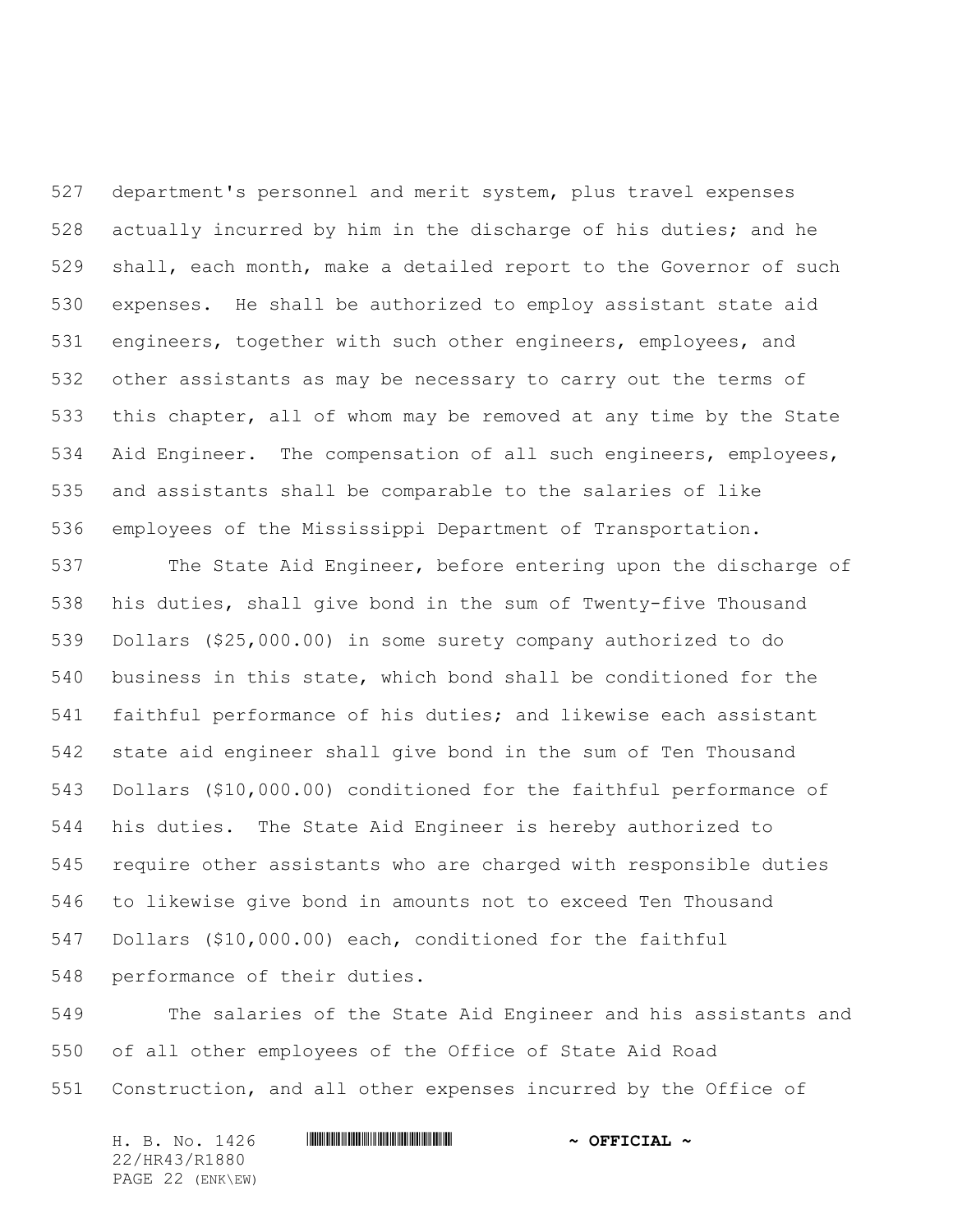department's personnel and merit system, plus travel expenses actually incurred by him in the discharge of his duties; and he shall, each month, make a detailed report to the Governor of such expenses. He shall be authorized to employ assistant state aid engineers, together with such other engineers, employees, and other assistants as may be necessary to carry out the terms of this chapter, all of whom may be removed at any time by the State Aid Engineer. The compensation of all such engineers, employees, and assistants shall be comparable to the salaries of like employees of the Mississippi Department of Transportation.

 The State Aid Engineer, before entering upon the discharge of his duties, shall give bond in the sum of Twenty-five Thousand Dollars (\$25,000.00) in some surety company authorized to do business in this state, which bond shall be conditioned for the faithful performance of his duties; and likewise each assistant state aid engineer shall give bond in the sum of Ten Thousand Dollars (\$10,000.00) conditioned for the faithful performance of his duties. The State Aid Engineer is hereby authorized to require other assistants who are charged with responsible duties to likewise give bond in amounts not to exceed Ten Thousand Dollars (\$10,000.00) each, conditioned for the faithful performance of their duties.

 The salaries of the State Aid Engineer and his assistants and of all other employees of the Office of State Aid Road Construction, and all other expenses incurred by the Office of

H. B. No. 1426 \*HR43/R1880\* **~ OFFICIAL ~** 22/HR43/R1880 PAGE 22 (ENK\EW)